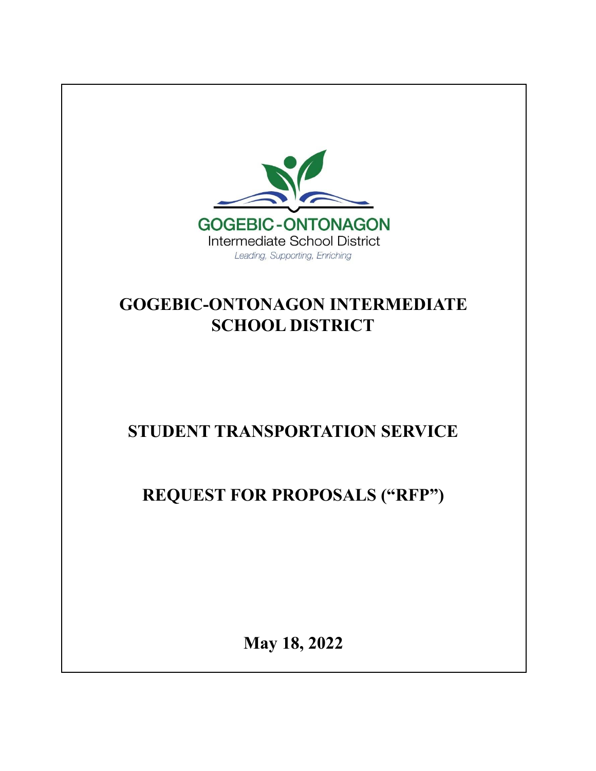

# **GOGEBIC-ONTONAGON INTERMEDIATE SCHOOL DISTRICT**

# **STUDENT TRANSPORTATION SERVICE**

**REQUEST FOR PROPOSALS ("RFP")**

**May 18, 2022**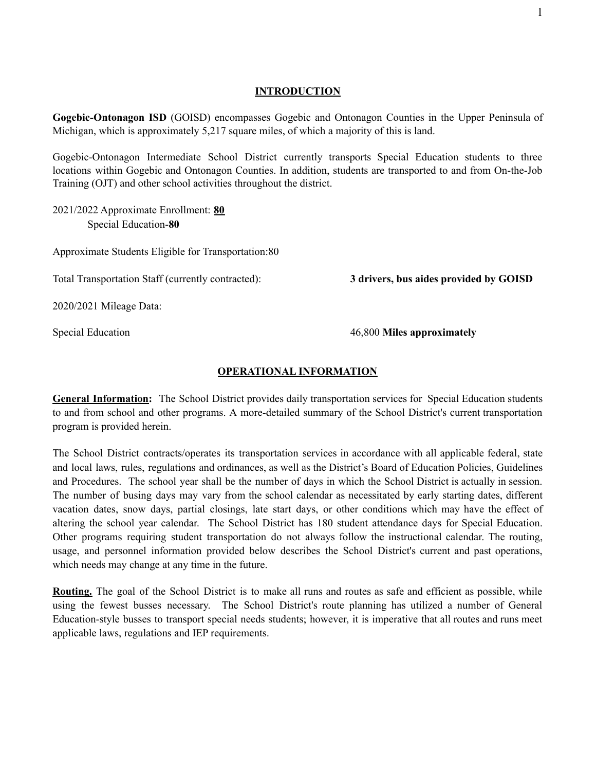#### **INTRODUCTION**

**Gogebic-Ontonagon ISD** (GOISD) encompasses Gogebic and Ontonagon Counties in the Upper Peninsula of Michigan, which is approximately 5,217 square miles, of which a majority of this is land.

Gogebic-Ontonagon Intermediate School District currently transports Special Education students to three locations within Gogebic and Ontonagon Counties. In addition, students are transported to and from On-the-Job Training (OJT) and other school activities throughout the district.

2021/2022 Approximate Enrollment: **80** Special Education-**80**

Approximate Students Eligible for Transportation:80

Total Transportation Staff (currently contracted): **3 drivers, bus aides provided by GOISD**

2020/2021 Mileage Data:

Special Education 46,800 **Miles approximately**

#### **OPERATIONAL INFORMATION**

**General Information:** The School District provides daily transportation services for Special Education students to and from school and other programs. A more-detailed summary of the School District's current transportation program is provided herein.

The School District contracts/operates its transportation services in accordance with all applicable federal, state and local laws, rules, regulations and ordinances, as well as the District's Board of Education Policies, Guidelines and Procedures. The school year shall be the number of days in which the School District is actually in session. The number of busing days may vary from the school calendar as necessitated by early starting dates, different vacation dates, snow days, partial closings, late start days, or other conditions which may have the effect of altering the school year calendar. The School District has 180 student attendance days for Special Education. Other programs requiring student transportation do not always follow the instructional calendar. The routing, usage, and personnel information provided below describes the School District's current and past operations, which needs may change at any time in the future.

**Routing.** The goal of the School District is to make all runs and routes as safe and efficient as possible, while using the fewest busses necessary. The School District's route planning has utilized a number of General Education-style busses to transport special needs students; however, it is imperative that all routes and runs meet applicable laws, regulations and IEP requirements.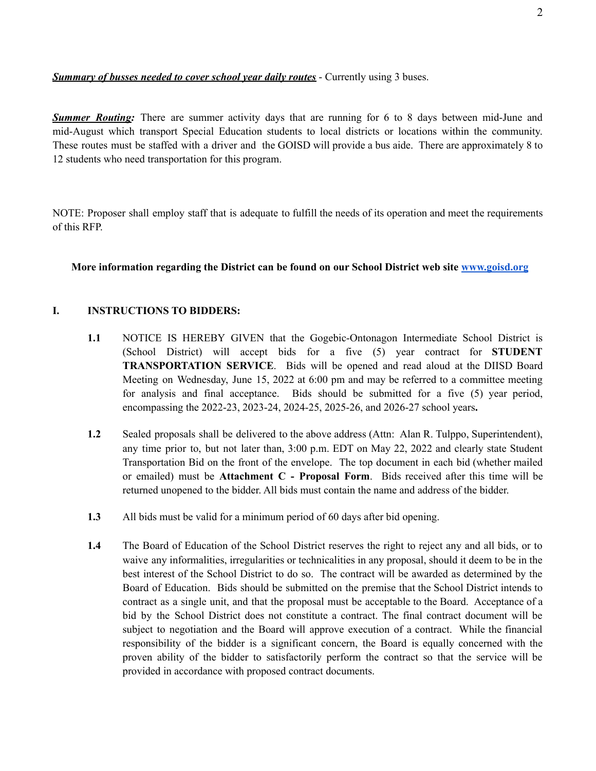*Summary of busses needed to cover school year daily routes* - Currently using 3 buses.

**Summer Routing:** There are summer activity days that are running for 6 to 8 days between mid-June and mid-August which transport Special Education students to local districts or locations within the community. These routes must be staffed with a driver and the GOISD will provide a bus aide. There are approximately 8 to 12 students who need transportation for this program.

NOTE: Proposer shall employ staff that is adequate to fulfill the needs of its operation and meet the requirements of this RFP.

#### **More information regarding the District can be found on our School District web site [www.goisd.org](http://www.goisd.org)**

#### **I. INSTRUCTIONS TO BIDDERS:**

- **1.1** NOTICE IS HEREBY GIVEN that the Gogebic-Ontonagon Intermediate School District is (School District) will accept bids for a five (5) year contract for **STUDENT TRANSPORTATION SERVICE**. Bids will be opened and read aloud at the DIISD Board Meeting on Wednesday, June 15, 2022 at 6:00 pm and may be referred to a committee meeting for analysis and final acceptance. Bids should be submitted for a five (5) year period, encompassing the 2022-23, 2023-24, 2024-25, 2025-26, and 2026-27 school years**.**
- **1.2** Sealed proposals shall be delivered to the above address (Attn: Alan R. Tulppo, Superintendent), any time prior to, but not later than, 3:00 p.m. EDT on May 22, 2022 and clearly state Student Transportation Bid on the front of the envelope. The top document in each bid (whether mailed or emailed) must be **Attachment C - Proposal Form**. Bids received after this time will be returned unopened to the bidder. All bids must contain the name and address of the bidder.
- **1.3** All bids must be valid for a minimum period of 60 days after bid opening.
- **1.4** The Board of Education of the School District reserves the right to reject any and all bids, or to waive any informalities, irregularities or technicalities in any proposal, should it deem to be in the best interest of the School District to do so. The contract will be awarded as determined by the Board of Education. Bids should be submitted on the premise that the School District intends to contract as a single unit, and that the proposal must be acceptable to the Board. Acceptance of a bid by the School District does not constitute a contract. The final contract document will be subject to negotiation and the Board will approve execution of a contract. While the financial responsibility of the bidder is a significant concern, the Board is equally concerned with the proven ability of the bidder to satisfactorily perform the contract so that the service will be provided in accordance with proposed contract documents.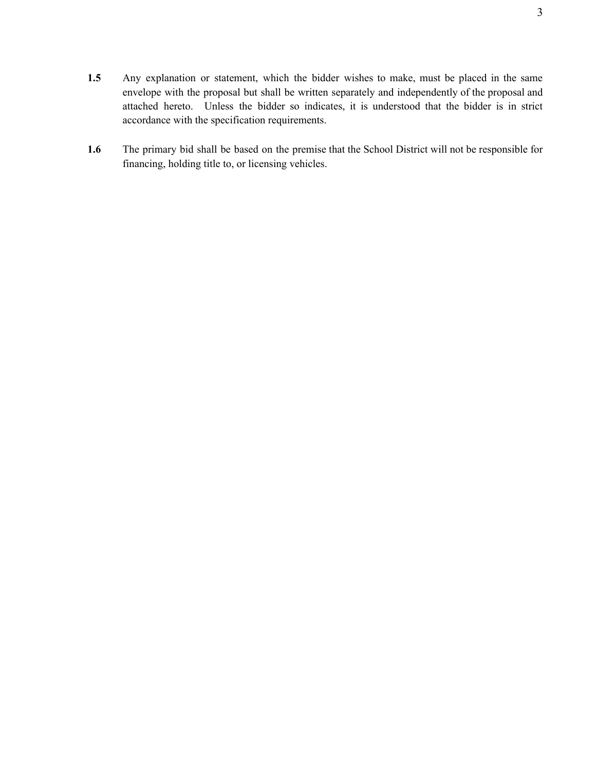- **1.5** Any explanation or statement, which the bidder wishes to make, must be placed in the same envelope with the proposal but shall be written separately and independently of the proposal and attached hereto. Unless the bidder so indicates, it is understood that the bidder is in strict accordance with the specification requirements.
- **1.6** The primary bid shall be based on the premise that the School District will not be responsible for financing, holding title to, or licensing vehicles.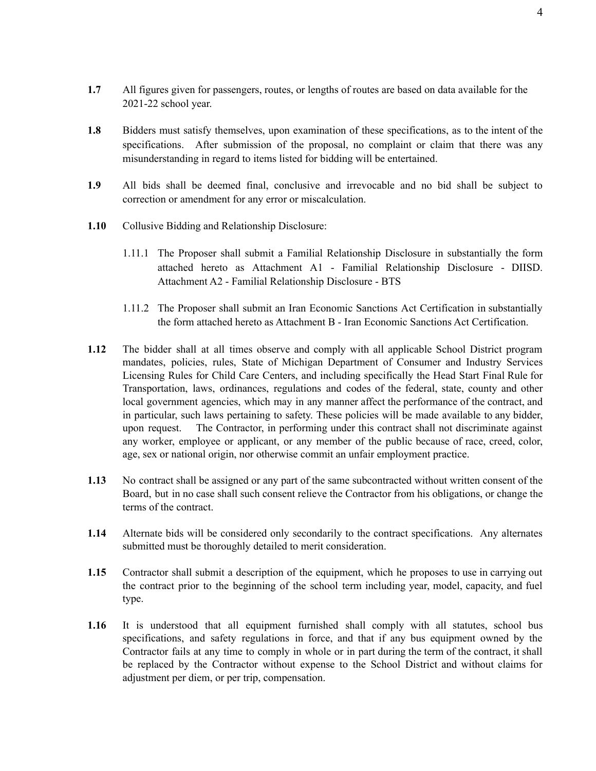- **1.7** All figures given for passengers, routes, or lengths of routes are based on data available for the 2021-22 school year.
- **1.8** Bidders must satisfy themselves, upon examination of these specifications, as to the intent of the specifications. After submission of the proposal, no complaint or claim that there was any misunderstanding in regard to items listed for bidding will be entertained.
- **1.9** All bids shall be deemed final, conclusive and irrevocable and no bid shall be subject to correction or amendment for any error or miscalculation.
- **1.10** Collusive Bidding and Relationship Disclosure:
	- 1.11.1 The Proposer shall submit a Familial Relationship Disclosure in substantially the form attached hereto as Attachment A1 - Familial Relationship Disclosure - DIISD. Attachment A2 - Familial Relationship Disclosure - BTS
	- 1.11.2 The Proposer shall submit an Iran Economic Sanctions Act Certification in substantially the form attached hereto as Attachment B - Iran Economic Sanctions Act Certification.
- **1.12** The bidder shall at all times observe and comply with all applicable School District program mandates, policies, rules, State of Michigan Department of Consumer and Industry Services Licensing Rules for Child Care Centers, and including specifically the Head Start Final Rule for Transportation, laws, ordinances, regulations and codes of the federal, state, county and other local government agencies, which may in any manner affect the performance of the contract, and in particular, such laws pertaining to safety. These policies will be made available to any bidder, upon request. The Contractor, in performing under this contract shall not discriminate against any worker, employee or applicant, or any member of the public because of race, creed, color, age, sex or national origin, nor otherwise commit an unfair employment practice.
- **1.13** No contract shall be assigned or any part of the same subcontracted without written consent of the Board, but in no case shall such consent relieve the Contractor from his obligations, or change the terms of the contract.
- **1.14** Alternate bids will be considered only secondarily to the contract specifications. Any alternates submitted must be thoroughly detailed to merit consideration.
- **1.15** Contractor shall submit a description of the equipment, which he proposes to use in carrying out the contract prior to the beginning of the school term including year, model, capacity, and fuel type.
- **1.16** It is understood that all equipment furnished shall comply with all statutes, school bus specifications, and safety regulations in force, and that if any bus equipment owned by the Contractor fails at any time to comply in whole or in part during the term of the contract, it shall be replaced by the Contractor without expense to the School District and without claims for adjustment per diem, or per trip, compensation.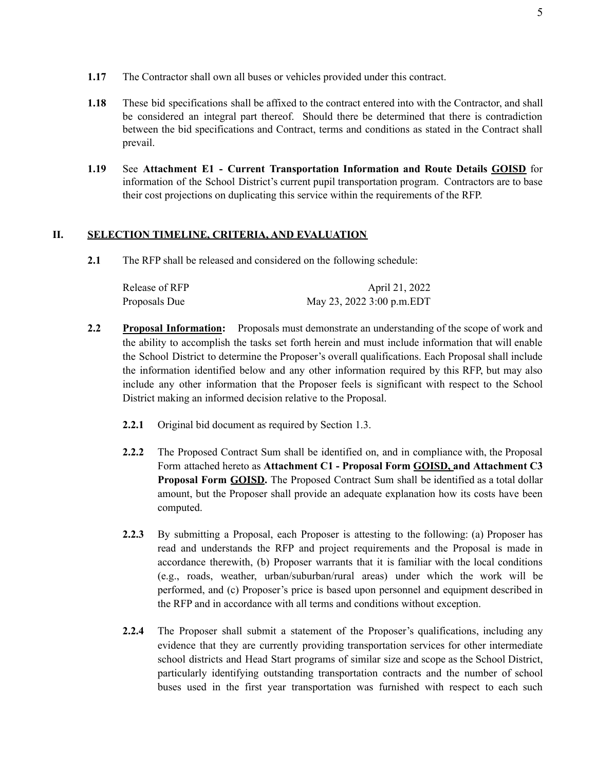- **1.17** The Contractor shall own all buses or vehicles provided under this contract.
- **1.18** These bid specifications shall be affixed to the contract entered into with the Contractor, and shall be considered an integral part thereof. Should there be determined that there is contradiction between the bid specifications and Contract, terms and conditions as stated in the Contract shall prevail.
- **1.19** See **Attachment E1 - Current Transportation Information and Route Details GOISD** for information of the School District's current pupil transportation program. Contractors are to base their cost projections on duplicating this service within the requirements of the RFP.

#### **II. SELECTION TIMELINE, CRITERIA, AND EVALUATION**

**2.1** The RFP shall be released and considered on the following schedule:

| Release of RFP | April 21, 2022            |
|----------------|---------------------------|
| Proposals Due  | May 23, 2022 3:00 p.m.EDT |

- **2.2 Proposal Information:** Proposals must demonstrate an understanding of the scope of work and the ability to accomplish the tasks set forth herein and must include information that will enable the School District to determine the Proposer's overall qualifications. Each Proposal shall include the information identified below and any other information required by this RFP, but may also include any other information that the Proposer feels is significant with respect to the School District making an informed decision relative to the Proposal.
	- **2.2.1** Original bid document as required by Section 1.3.
	- **2.2.2** The Proposed Contract Sum shall be identified on, and in compliance with, the Proposal Form attached hereto as **Attachment C1 - Proposal Form GOISD, and Attachment C3 Proposal Form GOISD.** The Proposed Contract Sum shall be identified as a total dollar amount, but the Proposer shall provide an adequate explanation how its costs have been computed.
	- **2.2.3** By submitting a Proposal, each Proposer is attesting to the following: (a) Proposer has read and understands the RFP and project requirements and the Proposal is made in accordance therewith, (b) Proposer warrants that it is familiar with the local conditions (e.g., roads, weather, urban/suburban/rural areas) under which the work will be performed, and (c) Proposer's price is based upon personnel and equipment described in the RFP and in accordance with all terms and conditions without exception.
	- **2.2.4** The Proposer shall submit a statement of the Proposer's qualifications, including any evidence that they are currently providing transportation services for other intermediate school districts and Head Start programs of similar size and scope as the School District, particularly identifying outstanding transportation contracts and the number of school buses used in the first year transportation was furnished with respect to each such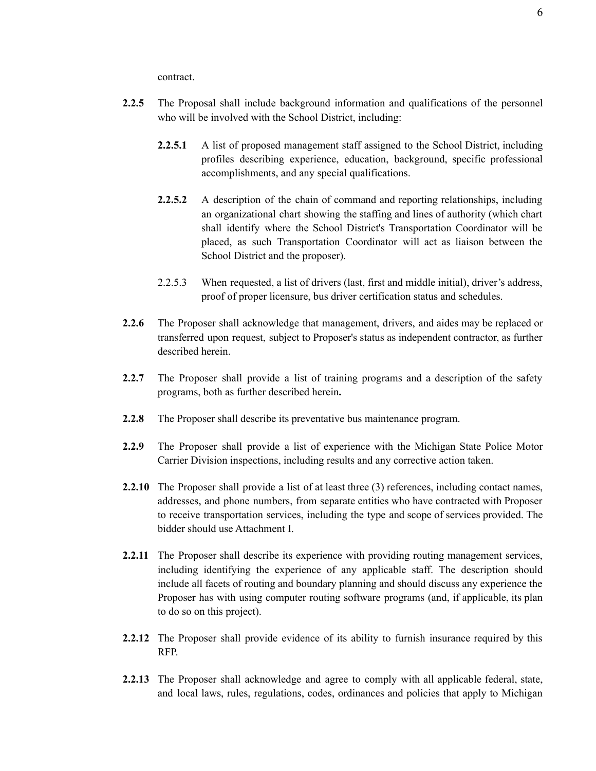contract.

- **2.2.5** The Proposal shall include background information and qualifications of the personnel who will be involved with the School District, including:
	- **2.2.5.1** A list of proposed management staff assigned to the School District, including profiles describing experience, education, background, specific professional accomplishments, and any special qualifications.
	- **2.2.5.2** A description of the chain of command and reporting relationships, including an organizational chart showing the staffing and lines of authority (which chart shall identify where the School District's Transportation Coordinator will be placed, as such Transportation Coordinator will act as liaison between the School District and the proposer).
	- 2.2.5.3 When requested, a list of drivers (last, first and middle initial), driver's address, proof of proper licensure, bus driver certification status and schedules.
- **2.2.6** The Proposer shall acknowledge that management, drivers, and aides may be replaced or transferred upon request, subject to Proposer's status as independent contractor, as further described herein.
- **2.2.7** The Proposer shall provide a list of training programs and a description of the safety programs, both as further described herein**.**
- **2.2.8** The Proposer shall describe its preventative bus maintenance program.
- **2.2.9** The Proposer shall provide a list of experience with the Michigan State Police Motor Carrier Division inspections, including results and any corrective action taken.
- **2.2.10** The Proposer shall provide a list of at least three (3) references, including contact names, addresses, and phone numbers, from separate entities who have contracted with Proposer to receive transportation services, including the type and scope of services provided. The bidder should use Attachment I.
- **2.2.11** The Proposer shall describe its experience with providing routing management services, including identifying the experience of any applicable staff. The description should include all facets of routing and boundary planning and should discuss any experience the Proposer has with using computer routing software programs (and, if applicable, its plan to do so on this project).
- **2.2.12** The Proposer shall provide evidence of its ability to furnish insurance required by this RFP.
- **2.2.13** The Proposer shall acknowledge and agree to comply with all applicable federal, state, and local laws, rules, regulations, codes, ordinances and policies that apply to Michigan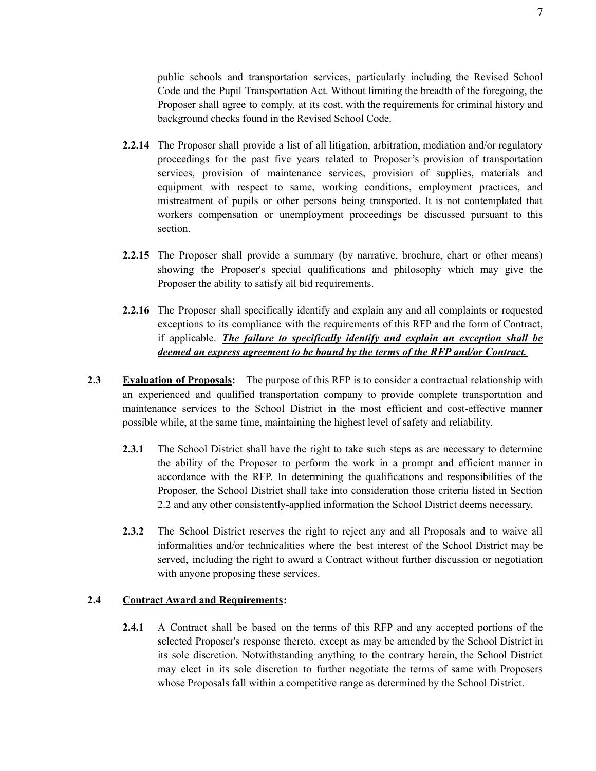public schools and transportation services, particularly including the Revised School Code and the Pupil Transportation Act. Without limiting the breadth of the foregoing, the Proposer shall agree to comply, at its cost, with the requirements for criminal history and background checks found in the Revised School Code.

- **2.2.14** The Proposer shall provide a list of all litigation, arbitration, mediation and/or regulatory proceedings for the past five years related to Proposer's provision of transportation services, provision of maintenance services, provision of supplies, materials and equipment with respect to same, working conditions, employment practices, and mistreatment of pupils or other persons being transported. It is not contemplated that workers compensation or unemployment proceedings be discussed pursuant to this section.
- **2.2.15** The Proposer shall provide a summary (by narrative, brochure, chart or other means) showing the Proposer's special qualifications and philosophy which may give the Proposer the ability to satisfy all bid requirements.
- **2.2.16** The Proposer shall specifically identify and explain any and all complaints or requested exceptions to its compliance with the requirements of this RFP and the form of Contract, if applicable. *The failure to specifically identify and explain an exception shall be deemed an express agreement to be bound by the terms of the RFP and/or Contract.*
- **2.3 Evaluation of Proposals:** The purpose of this RFP is to consider a contractual relationship with an experienced and qualified transportation company to provide complete transportation and maintenance services to the School District in the most efficient and cost-effective manner possible while, at the same time, maintaining the highest level of safety and reliability.
	- **2.3.1** The School District shall have the right to take such steps as are necessary to determine the ability of the Proposer to perform the work in a prompt and efficient manner in accordance with the RFP. In determining the qualifications and responsibilities of the Proposer, the School District shall take into consideration those criteria listed in Section 2.2 and any other consistently-applied information the School District deems necessary.
	- **2.3.2** The School District reserves the right to reject any and all Proposals and to waive all informalities and/or technicalities where the best interest of the School District may be served, including the right to award a Contract without further discussion or negotiation with anyone proposing these services.

#### **2.4 Contract Award and Requirements:**

**2.4.1** A Contract shall be based on the terms of this RFP and any accepted portions of the selected Proposer's response thereto, except as may be amended by the School District in its sole discretion. Notwithstanding anything to the contrary herein, the School District may elect in its sole discretion to further negotiate the terms of same with Proposers whose Proposals fall within a competitive range as determined by the School District.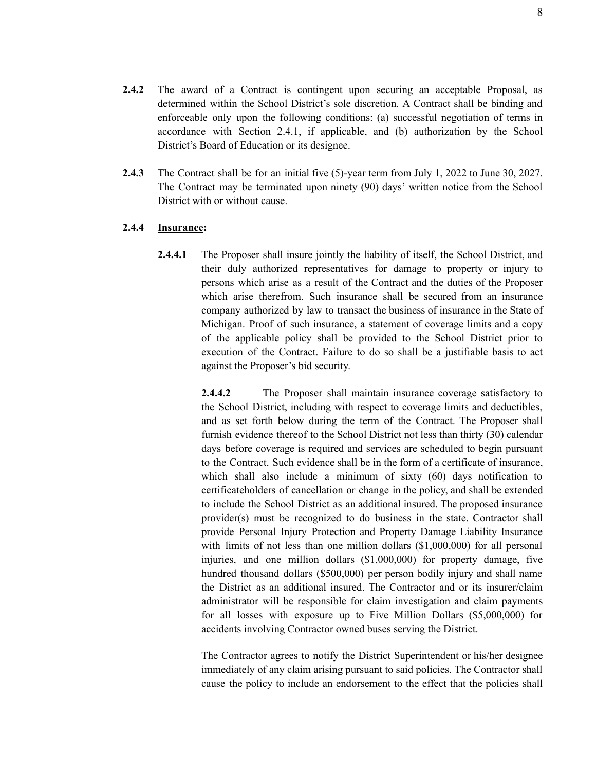- **2.4.2** The award of a Contract is contingent upon securing an acceptable Proposal, as determined within the School District's sole discretion. A Contract shall be binding and enforceable only upon the following conditions: (a) successful negotiation of terms in accordance with Section 2.4.1, if applicable, and (b) authorization by the School District's Board of Education or its designee.
- **2.4.3** The Contract shall be for an initial five (5)-year term from July 1, 2022 to June 30, 2027. The Contract may be terminated upon ninety (90) days' written notice from the School District with or without cause.

#### **2.4.4 Insurance:**

**2.4.4.1** The Proposer shall insure jointly the liability of itself, the School District, and their duly authorized representatives for damage to property or injury to persons which arise as a result of the Contract and the duties of the Proposer which arise therefrom. Such insurance shall be secured from an insurance company authorized by law to transact the business of insurance in the State of Michigan. Proof of such insurance, a statement of coverage limits and a copy of the applicable policy shall be provided to the School District prior to execution of the Contract. Failure to do so shall be a justifiable basis to act against the Proposer's bid security.

> **2.4.4.2** The Proposer shall maintain insurance coverage satisfactory to the School District, including with respect to coverage limits and deductibles, and as set forth below during the term of the Contract. The Proposer shall furnish evidence thereof to the School District not less than thirty (30) calendar days before coverage is required and services are scheduled to begin pursuant to the Contract. Such evidence shall be in the form of a certificate of insurance, which shall also include a minimum of sixty (60) days notification to certificateholders of cancellation or change in the policy, and shall be extended to include the School District as an additional insured. The proposed insurance provider(s) must be recognized to do business in the state. Contractor shall provide Personal Injury Protection and Property Damage Liability Insurance with limits of not less than one million dollars (\$1,000,000) for all personal injuries, and one million dollars (\$1,000,000) for property damage, five hundred thousand dollars (\$500,000) per person bodily injury and shall name the District as an additional insured. The Contractor and or its insurer/claim administrator will be responsible for claim investigation and claim payments for all losses with exposure up to Five Million Dollars (\$5,000,000) for accidents involving Contractor owned buses serving the District.

> The Contractor agrees to notify the District Superintendent or his/her designee immediately of any claim arising pursuant to said policies. The Contractor shall cause the policy to include an endorsement to the effect that the policies shall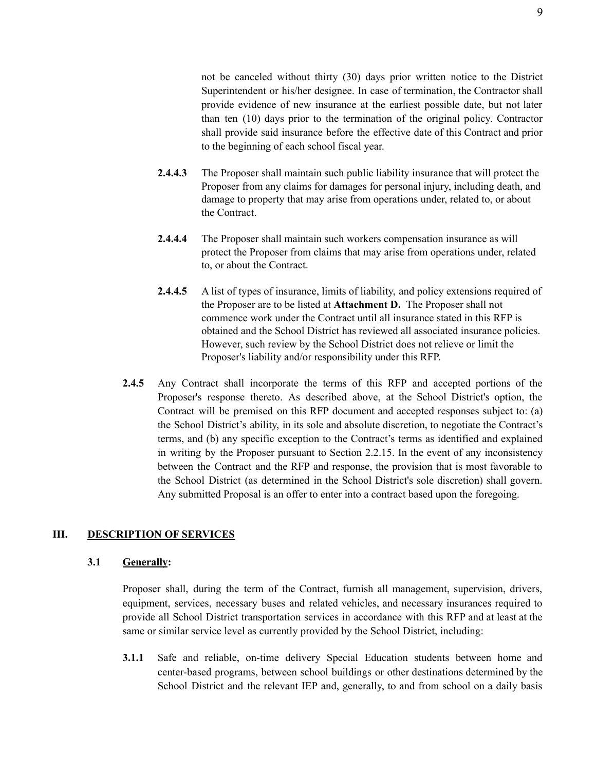not be canceled without thirty (30) days prior written notice to the District Superintendent or his/her designee. In case of termination, the Contractor shall provide evidence of new insurance at the earliest possible date, but not later than ten (10) days prior to the termination of the original policy. Contractor shall provide said insurance before the effective date of this Contract and prior to the beginning of each school fiscal year.

- **2.4.4.3** The Proposer shall maintain such public liability insurance that will protect the Proposer from any claims for damages for personal injury, including death, and damage to property that may arise from operations under, related to, or about the Contract.
- **2.4.4.4** The Proposer shall maintain such workers compensation insurance as will protect the Proposer from claims that may arise from operations under, related to, or about the Contract.
- **2.4.4.5** A list of types of insurance, limits of liability, and policy extensions required of the Proposer are to be listed at **Attachment D.** The Proposer shall not commence work under the Contract until all insurance stated in this RFP is obtained and the School District has reviewed all associated insurance policies. However, such review by the School District does not relieve or limit the Proposer's liability and/or responsibility under this RFP.
- **2.4.5** Any Contract shall incorporate the terms of this RFP and accepted portions of the Proposer's response thereto. As described above, at the School District's option, the Contract will be premised on this RFP document and accepted responses subject to: (a) the School District's ability, in its sole and absolute discretion, to negotiate the Contract's terms, and (b) any specific exception to the Contract's terms as identified and explained in writing by the Proposer pursuant to Section 2.2.15. In the event of any inconsistency between the Contract and the RFP and response, the provision that is most favorable to the School District (as determined in the School District's sole discretion) shall govern. Any submitted Proposal is an offer to enter into a contract based upon the foregoing.

#### **III. DESCRIPTION OF SERVICES**

#### **3.1 Generally:**

Proposer shall, during the term of the Contract, furnish all management, supervision, drivers, equipment, services, necessary buses and related vehicles, and necessary insurances required to provide all School District transportation services in accordance with this RFP and at least at the same or similar service level as currently provided by the School District, including:

**3.1.1** Safe and reliable, on-time delivery Special Education students between home and center-based programs, between school buildings or other destinations determined by the School District and the relevant IEP and, generally, to and from school on a daily basis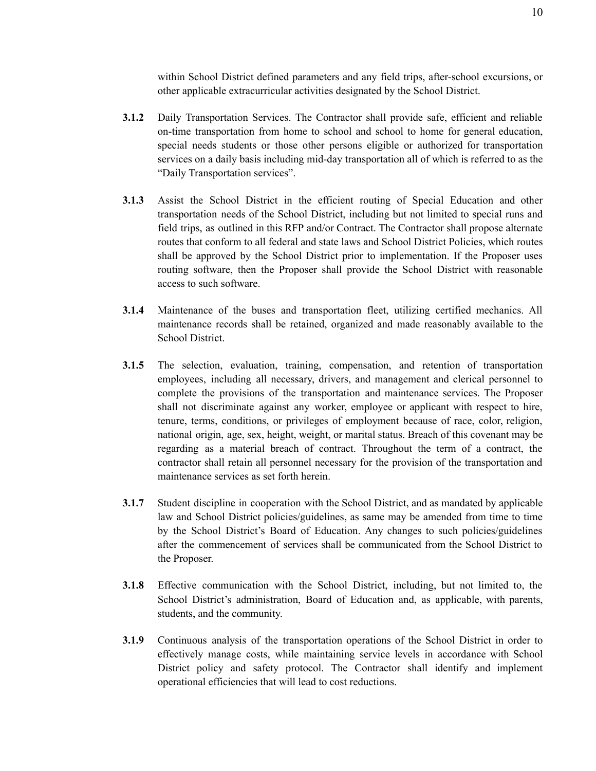within School District defined parameters and any field trips, after-school excursions, or other applicable extracurricular activities designated by the School District.

- **3.1.2** Daily Transportation Services. The Contractor shall provide safe, efficient and reliable on-time transportation from home to school and school to home for general education, special needs students or those other persons eligible or authorized for transportation services on a daily basis including mid-day transportation all of which is referred to as the "Daily Transportation services".
- **3.1.3** Assist the School District in the efficient routing of Special Education and other transportation needs of the School District, including but not limited to special runs and field trips, as outlined in this RFP and/or Contract. The Contractor shall propose alternate routes that conform to all federal and state laws and School District Policies, which routes shall be approved by the School District prior to implementation. If the Proposer uses routing software, then the Proposer shall provide the School District with reasonable access to such software.
- **3.1.4** Maintenance of the buses and transportation fleet, utilizing certified mechanics. All maintenance records shall be retained, organized and made reasonably available to the School District.
- **3.1.5** The selection, evaluation, training, compensation, and retention of transportation employees, including all necessary, drivers, and management and clerical personnel to complete the provisions of the transportation and maintenance services. The Proposer shall not discriminate against any worker, employee or applicant with respect to hire, tenure, terms, conditions, or privileges of employment because of race, color, religion, national origin, age, sex, height, weight, or marital status. Breach of this covenant may be regarding as a material breach of contract. Throughout the term of a contract, the contractor shall retain all personnel necessary for the provision of the transportation and maintenance services as set forth herein.
- **3.1.7** Student discipline in cooperation with the School District, and as mandated by applicable law and School District policies/guidelines, as same may be amended from time to time by the School District's Board of Education. Any changes to such policies/guidelines after the commencement of services shall be communicated from the School District to the Proposer.
- **3.1.8** Effective communication with the School District, including, but not limited to, the School District's administration, Board of Education and, as applicable, with parents, students, and the community.
- **3.1.9** Continuous analysis of the transportation operations of the School District in order to effectively manage costs, while maintaining service levels in accordance with School District policy and safety protocol. The Contractor shall identify and implement operational efficiencies that will lead to cost reductions.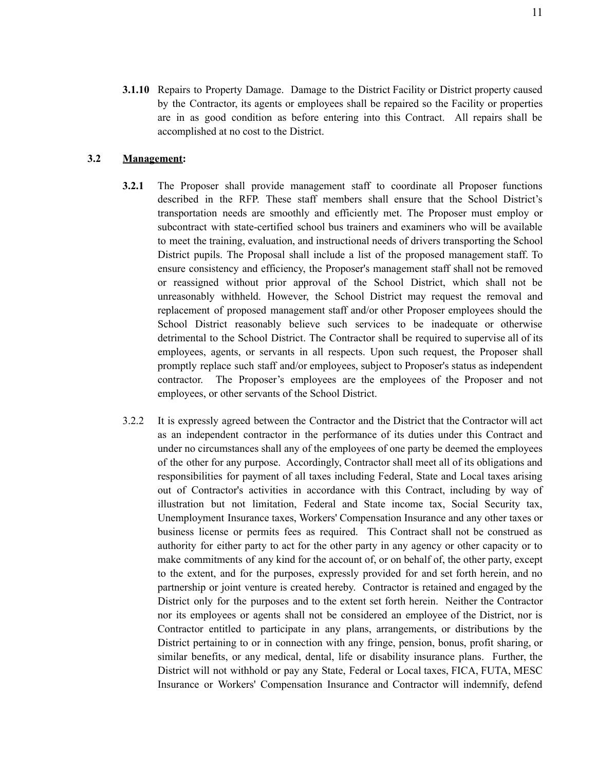**3.1.10** Repairs to Property Damage. Damage to the District Facility or District property caused by the Contractor, its agents or employees shall be repaired so the Facility or properties are in as good condition as before entering into this Contract. All repairs shall be accomplished at no cost to the District.

#### **3.2 Management:**

- **3.2.1** The Proposer shall provide management staff to coordinate all Proposer functions described in the RFP. These staff members shall ensure that the School District's transportation needs are smoothly and efficiently met. The Proposer must employ or subcontract with state-certified school bus trainers and examiners who will be available to meet the training, evaluation, and instructional needs of drivers transporting the School District pupils. The Proposal shall include a list of the proposed management staff. To ensure consistency and efficiency, the Proposer's management staff shall not be removed or reassigned without prior approval of the School District, which shall not be unreasonably withheld. However, the School District may request the removal and replacement of proposed management staff and/or other Proposer employees should the School District reasonably believe such services to be inadequate or otherwise detrimental to the School District. The Contractor shall be required to supervise all of its employees, agents, or servants in all respects. Upon such request, the Proposer shall promptly replace such staff and/or employees, subject to Proposer's status as independent contractor. The Proposer's employees are the employees of the Proposer and not employees, or other servants of the School District.
- 3.2.2 It is expressly agreed between the Contractor and the District that the Contractor will act as an independent contractor in the performance of its duties under this Contract and under no circumstances shall any of the employees of one party be deemed the employees of the other for any purpose. Accordingly, Contractor shall meet all of its obligations and responsibilities for payment of all taxes including Federal, State and Local taxes arising out of Contractor's activities in accordance with this Contract, including by way of illustration but not limitation, Federal and State income tax, Social Security tax, Unemployment Insurance taxes, Workers' Compensation Insurance and any other taxes or business license or permits fees as required. This Contract shall not be construed as authority for either party to act for the other party in any agency or other capacity or to make commitments of any kind for the account of, or on behalf of, the other party, except to the extent, and for the purposes, expressly provided for and set forth herein, and no partnership or joint venture is created hereby. Contractor is retained and engaged by the District only for the purposes and to the extent set forth herein. Neither the Contractor nor its employees or agents shall not be considered an employee of the District, nor is Contractor entitled to participate in any plans, arrangements, or distributions by the District pertaining to or in connection with any fringe, pension, bonus, profit sharing, or similar benefits, or any medical, dental, life or disability insurance plans. Further, the District will not withhold or pay any State, Federal or Local taxes, FICA, FUTA, MESC Insurance or Workers' Compensation Insurance and Contractor will indemnify, defend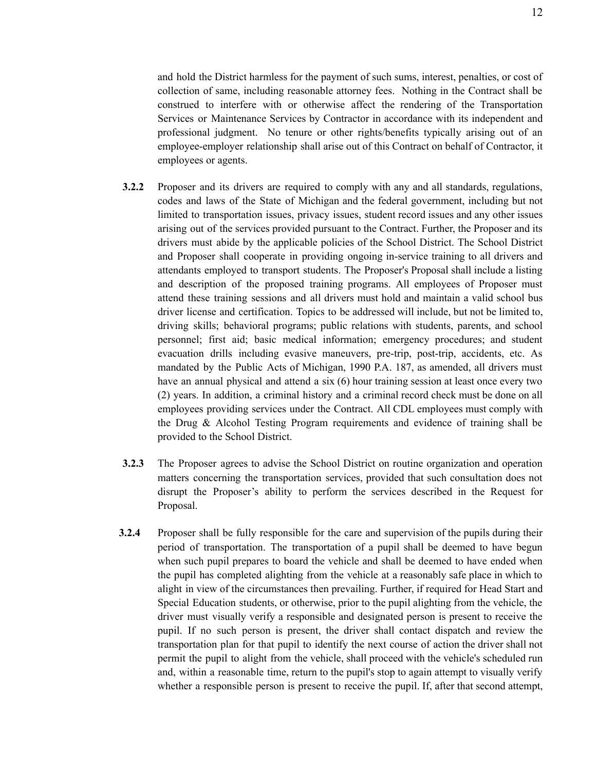and hold the District harmless for the payment of such sums, interest, penalties, or cost of collection of same, including reasonable attorney fees. Nothing in the Contract shall be construed to interfere with or otherwise affect the rendering of the Transportation Services or Maintenance Services by Contractor in accordance with its independent and professional judgment. No tenure or other rights/benefits typically arising out of an employee-employer relationship shall arise out of this Contract on behalf of Contractor, it employees or agents.

- **3.2.2** Proposer and its drivers are required to comply with any and all standards, regulations, codes and laws of the State of Michigan and the federal government, including but not limited to transportation issues, privacy issues, student record issues and any other issues arising out of the services provided pursuant to the Contract. Further, the Proposer and its drivers must abide by the applicable policies of the School District. The School District and Proposer shall cooperate in providing ongoing in-service training to all drivers and attendants employed to transport students. The Proposer's Proposal shall include a listing and description of the proposed training programs. All employees of Proposer must attend these training sessions and all drivers must hold and maintain a valid school bus driver license and certification. Topics to be addressed will include, but not be limited to, driving skills; behavioral programs; public relations with students, parents, and school personnel; first aid; basic medical information; emergency procedures; and student evacuation drills including evasive maneuvers, pre-trip, post-trip, accidents, etc. As mandated by the Public Acts of Michigan, 1990 P.A. 187, as amended, all drivers must have an annual physical and attend a six (6) hour training session at least once every two (2) years. In addition, a criminal history and a criminal record check must be done on all employees providing services under the Contract. All CDL employees must comply with the Drug & Alcohol Testing Program requirements and evidence of training shall be provided to the School District.
- **3.2.3** The Proposer agrees to advise the School District on routine organization and operation matters concerning the transportation services, provided that such consultation does not disrupt the Proposer's ability to perform the services described in the Request for Proposal.
- **3.2.4** Proposer shall be fully responsible for the care and supervision of the pupils during their period of transportation. The transportation of a pupil shall be deemed to have begun when such pupil prepares to board the vehicle and shall be deemed to have ended when the pupil has completed alighting from the vehicle at a reasonably safe place in which to alight in view of the circumstances then prevailing. Further, if required for Head Start and Special Education students, or otherwise, prior to the pupil alighting from the vehicle, the driver must visually verify a responsible and designated person is present to receive the pupil. If no such person is present, the driver shall contact dispatch and review the transportation plan for that pupil to identify the next course of action the driver shall not permit the pupil to alight from the vehicle, shall proceed with the vehicle's scheduled run and, within a reasonable time, return to the pupil's stop to again attempt to visually verify whether a responsible person is present to receive the pupil. If, after that second attempt,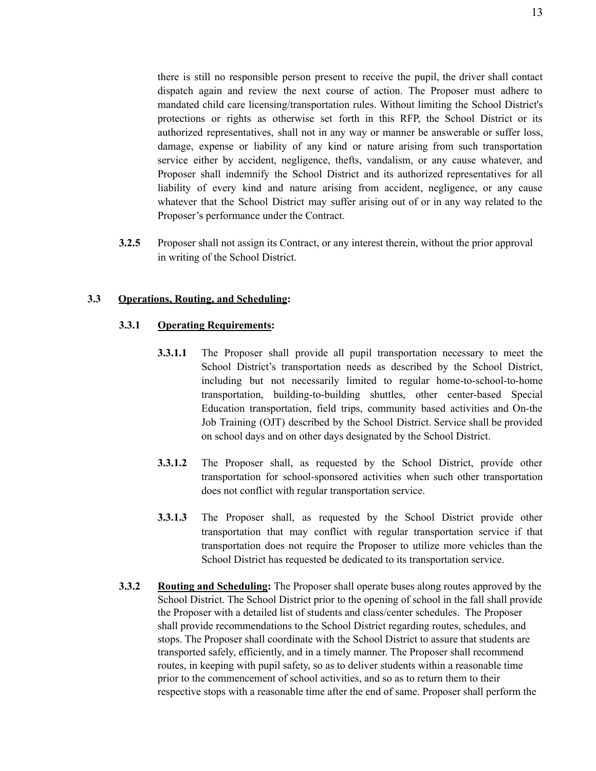there is still no responsible person present to receive the pupil, the driver shall contact dispatch again and review the next course of action. The Proposer must adhere to mandated child care licensing/transportation rules. Without limiting the School District's protections or rights as otherwise set forth in this RFP, the School District or its authorized representatives, shall not in any way or manner be answerable or suffer loss, damage, expense or liability of any kind or nature arising from such transportation service either by accident, negligence, thefts, vandalism, or any cause whatever, and Proposer shall indemnify the School District and its authorized representatives for all liability of every kind and nature arising from accident, negligence, or any cause whatever that the School District may suffer arising out of or in any way related to the Proposer's performance under the Contract.

**3.2.5** Proposer shall not assign its Contract, or any interest therein, without the prior approval in writing of the School District.

#### **3.3 Operations, Routing, and Scheduling:**

#### **3.3.1 Operating Requirements:**

- **3.3.1.1** The Proposer shall provide all pupil transportation necessary to meet the School District's transportation needs as described by the School District, including but not necessarily limited to regular home-to-school-to-home transportation, building-to-building shuttles, other center-based Special Education transportation, field trips, community based activities and On-the Job Training (OJT) described by the School District. Service shall be provided on school days and on other days designated by the School District.
- **3.3.1.2** The Proposer shall, as requested by the School District, provide other transportation for school-sponsored activities when such other transportation does not conflict with regular transportation service.
- **3.3.1.3** The Proposer shall, as requested by the School District provide other transportation that may conflict with regular transportation service if that transportation does not require the Proposer to utilize more vehicles than the School District has requested be dedicated to its transportation service.
- **3.3.2 Routing and Scheduling:** The Proposer shall operate buses along routes approved by the School District. The School District prior to the opening of school in the fall shall provide the Proposer with a detailed list of students and class/center schedules. The Proposer shall provide recommendations to the School District regarding routes, schedules, and stops. The Proposer shall coordinate with the School District to assure that students are transported safely, efficiently, and in a timely manner. The Proposer shall recommend routes, in keeping with pupil safety, so as to deliver students within a reasonable time prior to the commencement of school activities, and so as to return them to their respective stops with a reasonable time after the end of same. Proposer shall perform the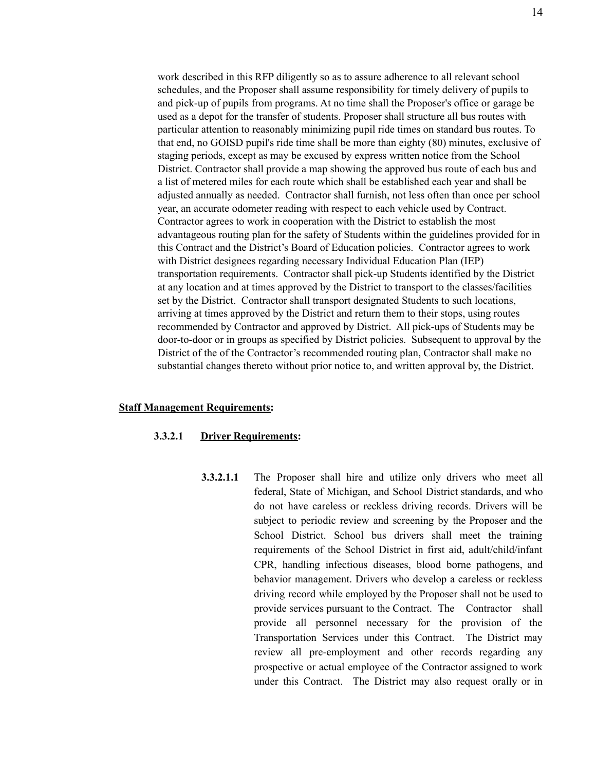work described in this RFP diligently so as to assure adherence to all relevant school schedules, and the Proposer shall assume responsibility for timely delivery of pupils to and pick-up of pupils from programs. At no time shall the Proposer's office or garage be used as a depot for the transfer of students. Proposer shall structure all bus routes with particular attention to reasonably minimizing pupil ride times on standard bus routes. To that end, no GOISD pupil's ride time shall be more than eighty (80) minutes, exclusive of staging periods, except as may be excused by express written notice from the School District. Contractor shall provide a map showing the approved bus route of each bus and a list of metered miles for each route which shall be established each year and shall be adjusted annually as needed. Contractor shall furnish, not less often than once per school year, an accurate odometer reading with respect to each vehicle used by Contract. Contractor agrees to work in cooperation with the District to establish the most advantageous routing plan for the safety of Students within the guidelines provided for in this Contract and the District's Board of Education policies. Contractor agrees to work with District designees regarding necessary Individual Education Plan (IEP) transportation requirements. Contractor shall pick-up Students identified by the District at any location and at times approved by the District to transport to the classes/facilities set by the District. Contractor shall transport designated Students to such locations, arriving at times approved by the District and return them to their stops, using routes recommended by Contractor and approved by District. All pick-ups of Students may be door-to-door or in groups as specified by District policies. Subsequent to approval by the District of the of the Contractor's recommended routing plan, Contractor shall make no substantial changes thereto without prior notice to, and written approval by, the District.

#### **Staff Management Requirements:**

#### **3.3.2.1 Driver Requirements:**

**3.3.2.1.1** The Proposer shall hire and utilize only drivers who meet all federal, State of Michigan, and School District standards, and who do not have careless or reckless driving records. Drivers will be subject to periodic review and screening by the Proposer and the School District. School bus drivers shall meet the training requirements of the School District in first aid, adult/child/infant CPR, handling infectious diseases, blood borne pathogens, and behavior management. Drivers who develop a careless or reckless driving record while employed by the Proposer shall not be used to provide services pursuant to the Contract. The Contractor shall provide all personnel necessary for the provision of the Transportation Services under this Contract. The District may review all pre-employment and other records regarding any prospective or actual employee of the Contractor assigned to work under this Contract. The District may also request orally or in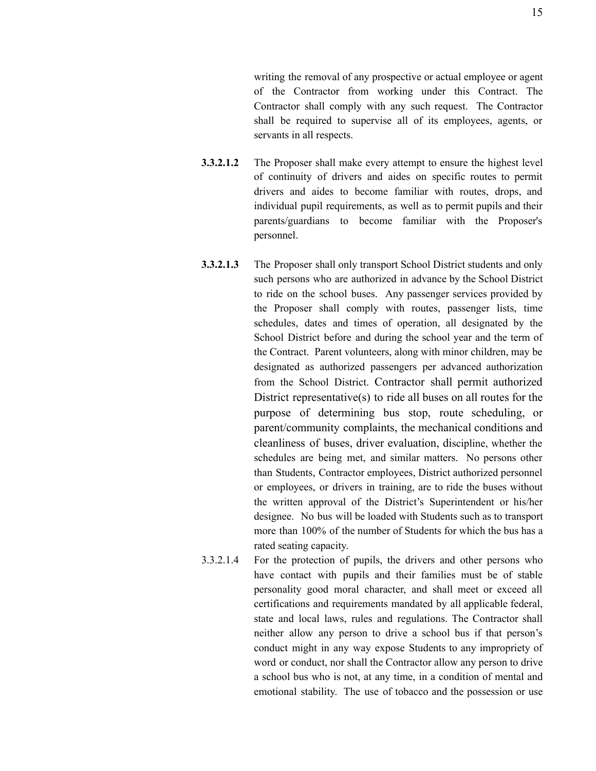writing the removal of any prospective or actual employee or agent of the Contractor from working under this Contract. The Contractor shall comply with any such request. The Contractor shall be required to supervise all of its employees, agents, or servants in all respects.

- **3.3.2.1.2** The Proposer shall make every attempt to ensure the highest level of continuity of drivers and aides on specific routes to permit drivers and aides to become familiar with routes, drops, and individual pupil requirements, as well as to permit pupils and their parents/guardians to become familiar with the Proposer's personnel.
- **3.3.2.1.3** The Proposer shall only transport School District students and only such persons who are authorized in advance by the School District to ride on the school buses. Any passenger services provided by the Proposer shall comply with routes, passenger lists, time schedules, dates and times of operation, all designated by the School District before and during the school year and the term of the Contract. Parent volunteers, along with minor children, may be designated as authorized passengers per advanced authorization from the School District. Contractor shall permit authorized District representative(s) to ride all buses on all routes for the purpose of determining bus stop, route scheduling, or parent/community complaints, the mechanical conditions and cleanliness of buses, driver evaluation, discipline, whether the schedules are being met, and similar matters. No persons other than Students, Contractor employees, District authorized personnel or employees, or drivers in training, are to ride the buses without the written approval of the District's Superintendent or his/her designee. No bus will be loaded with Students such as to transport more than 100% of the number of Students for which the bus has a rated seating capacity.
- 3.3.2.1.4 For the protection of pupils, the drivers and other persons who have contact with pupils and their families must be of stable personality good moral character, and shall meet or exceed all certifications and requirements mandated by all applicable federal, state and local laws, rules and regulations. The Contractor shall neither allow any person to drive a school bus if that person's conduct might in any way expose Students to any impropriety of word or conduct, nor shall the Contractor allow any person to drive a school bus who is not, at any time, in a condition of mental and emotional stability. The use of tobacco and the possession or use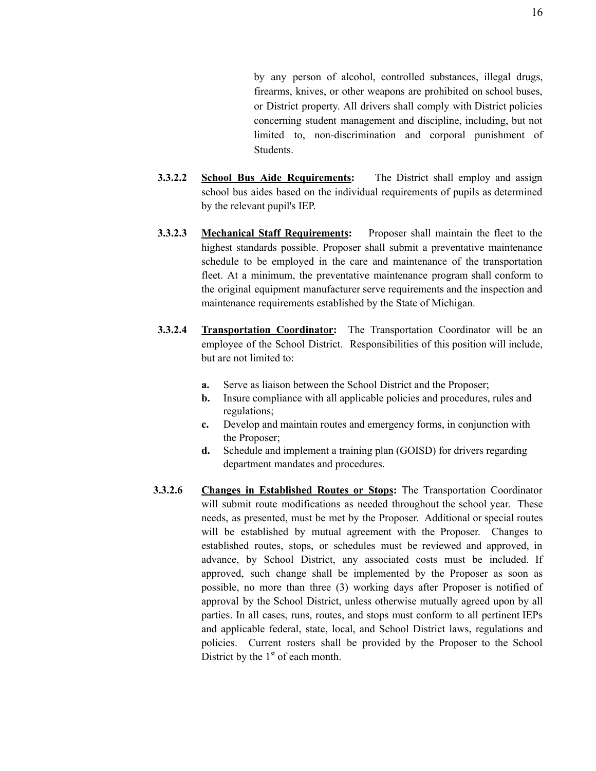by any person of alcohol, controlled substances, illegal drugs, firearms, knives, or other weapons are prohibited on school buses, or District property. All drivers shall comply with District policies concerning student management and discipline, including, but not limited to, non-discrimination and corporal punishment of **Students** 

- **3.3.2.2 School Bus Aide Requirements:** The District shall employ and assign school bus aides based on the individual requirements of pupils as determined by the relevant pupil's IEP.
- **3.3.2.3 Mechanical Staff Requirements:** Proposer shall maintain the fleet to the highest standards possible. Proposer shall submit a preventative maintenance schedule to be employed in the care and maintenance of the transportation fleet. At a minimum, the preventative maintenance program shall conform to the original equipment manufacturer serve requirements and the inspection and maintenance requirements established by the State of Michigan.
- **3.3.2.4 Transportation Coordinator:** The Transportation Coordinator will be an employee of the School District. Responsibilities of this position will include, but are not limited to:
	- **a.** Serve as liaison between the School District and the Proposer;
	- **b.** Insure compliance with all applicable policies and procedures, rules and regulations;
	- **c.** Develop and maintain routes and emergency forms, in conjunction with the Proposer;
	- **d.** Schedule and implement a training plan (GOISD) for drivers regarding department mandates and procedures.
- **3.3.2.6 Changes in Established Routes or Stops:** The Transportation Coordinator will submit route modifications as needed throughout the school year. These needs, as presented, must be met by the Proposer. Additional or special routes will be established by mutual agreement with the Proposer. Changes to established routes, stops, or schedules must be reviewed and approved, in advance, by School District, any associated costs must be included. If approved, such change shall be implemented by the Proposer as soon as possible, no more than three (3) working days after Proposer is notified of approval by the School District, unless otherwise mutually agreed upon by all parties. In all cases, runs, routes, and stops must conform to all pertinent IEPs and applicable federal, state, local, and School District laws, regulations and policies. Current rosters shall be provided by the Proposer to the School District by the  $1<sup>st</sup>$  of each month.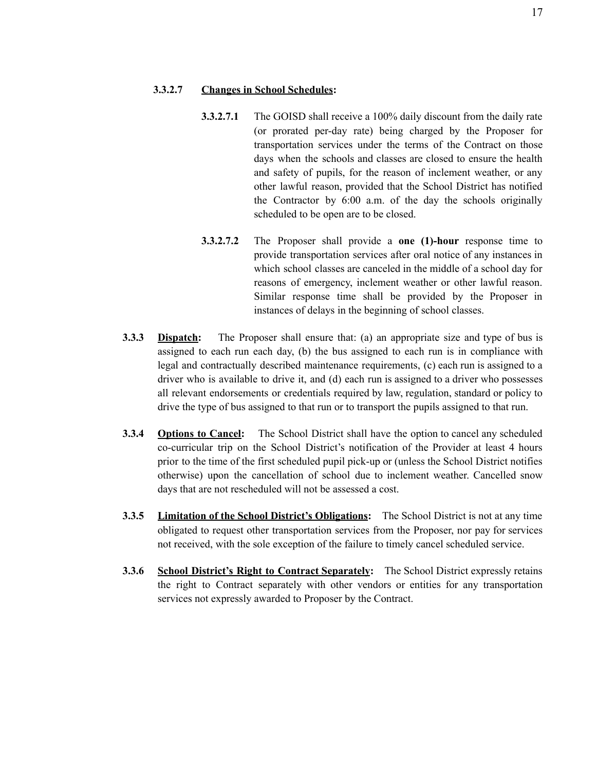#### **3.3.2.7 Changes in School Schedules:**

- **3.3.2.7.1** The GOISD shall receive a 100% daily discount from the daily rate (or prorated per-day rate) being charged by the Proposer for transportation services under the terms of the Contract on those days when the schools and classes are closed to ensure the health and safety of pupils, for the reason of inclement weather, or any other lawful reason, provided that the School District has notified the Contractor by 6:00 a.m. of the day the schools originally scheduled to be open are to be closed.
- **3.3.2.7.2** The Proposer shall provide a **one (1)-hour** response time to provide transportation services after oral notice of any instances in which school classes are canceled in the middle of a school day for reasons of emergency, inclement weather or other lawful reason. Similar response time shall be provided by the Proposer in instances of delays in the beginning of school classes.
- **3.3.3 Dispatch:** The Proposer shall ensure that: (a) an appropriate size and type of bus is assigned to each run each day, (b) the bus assigned to each run is in compliance with legal and contractually described maintenance requirements, (c) each run is assigned to a driver who is available to drive it, and (d) each run is assigned to a driver who possesses all relevant endorsements or credentials required by law, regulation, standard or policy to drive the type of bus assigned to that run or to transport the pupils assigned to that run.
- **3.3.4 Options to Cancel:** The School District shall have the option to cancel any scheduled co-curricular trip on the School District's notification of the Provider at least 4 hours prior to the time of the first scheduled pupil pick-up or (unless the School District notifies otherwise) upon the cancellation of school due to inclement weather. Cancelled snow days that are not rescheduled will not be assessed a cost.
- **3.3.5 Limitation of the School District's Obligations:** The School District is not at any time obligated to request other transportation services from the Proposer, nor pay for services not received, with the sole exception of the failure to timely cancel scheduled service.
- **3.3.6 School District's Right to Contract Separately:** The School District expressly retains the right to Contract separately with other vendors or entities for any transportation services not expressly awarded to Proposer by the Contract.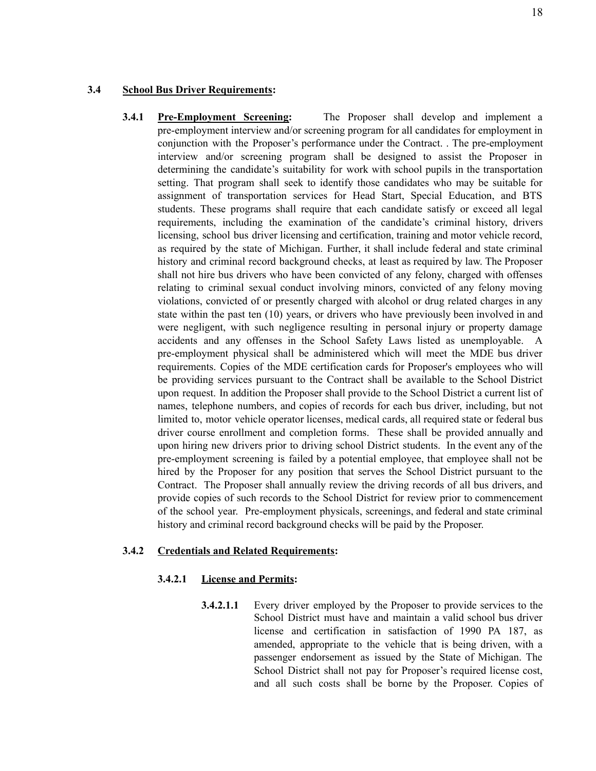#### **3.4 School Bus Driver Requirements:**

**3.4.1 Pre-Employment Screening:** The Proposer shall develop and implement a pre-employment interview and/or screening program for all candidates for employment in conjunction with the Proposer's performance under the Contract. . The pre-employment interview and/or screening program shall be designed to assist the Proposer in determining the candidate's suitability for work with school pupils in the transportation setting. That program shall seek to identify those candidates who may be suitable for assignment of transportation services for Head Start, Special Education, and BTS students. These programs shall require that each candidate satisfy or exceed all legal requirements, including the examination of the candidate's criminal history, drivers licensing, school bus driver licensing and certification, training and motor vehicle record, as required by the state of Michigan. Further, it shall include federal and state criminal history and criminal record background checks, at least as required by law. The Proposer shall not hire bus drivers who have been convicted of any felony, charged with offenses relating to criminal sexual conduct involving minors, convicted of any felony moving violations, convicted of or presently charged with alcohol or drug related charges in any state within the past ten (10) years, or drivers who have previously been involved in and were negligent, with such negligence resulting in personal injury or property damage accidents and any offenses in the School Safety Laws listed as unemployable. A pre-employment physical shall be administered which will meet the MDE bus driver requirements. Copies of the MDE certification cards for Proposer's employees who will be providing services pursuant to the Contract shall be available to the School District upon request. In addition the Proposer shall provide to the School District a current list of names, telephone numbers, and copies of records for each bus driver, including, but not limited to, motor vehicle operator licenses, medical cards, all required state or federal bus driver course enrollment and completion forms. These shall be provided annually and upon hiring new drivers prior to driving school District students. In the event any of the pre-employment screening is failed by a potential employee, that employee shall not be hired by the Proposer for any position that serves the School District pursuant to the Contract. The Proposer shall annually review the driving records of all bus drivers, and provide copies of such records to the School District for review prior to commencement of the school year. Pre-employment physicals, screenings, and federal and state criminal history and criminal record background checks will be paid by the Proposer.

#### **3.4.2 Credentials and Related Requirements:**

#### **3.4.2.1 License and Permits:**

**3.4.2.1.1** Every driver employed by the Proposer to provide services to the School District must have and maintain a valid school bus driver license and certification in satisfaction of 1990 PA 187, as amended, appropriate to the vehicle that is being driven, with a passenger endorsement as issued by the State of Michigan. The School District shall not pay for Proposer's required license cost, and all such costs shall be borne by the Proposer. Copies of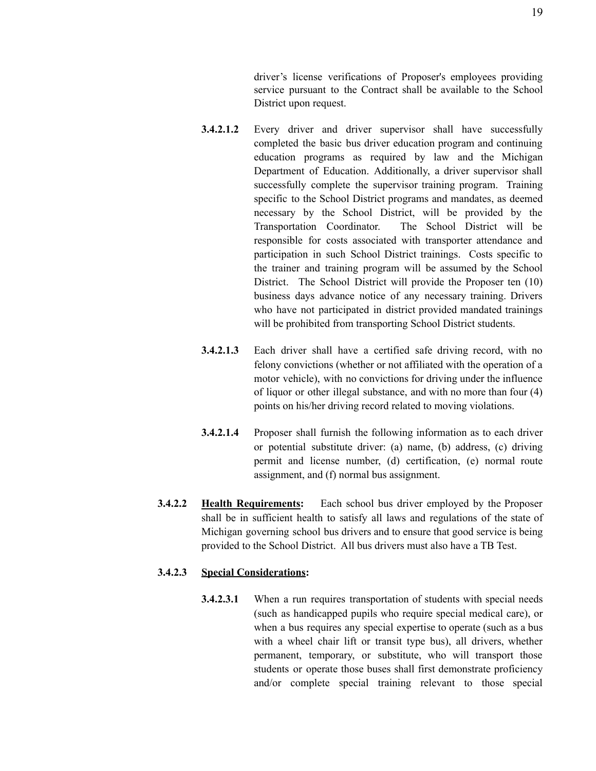driver's license verifications of Proposer's employees providing service pursuant to the Contract shall be available to the School District upon request.

- **3.4.2.1.2** Every driver and driver supervisor shall have successfully completed the basic bus driver education program and continuing education programs as required by law and the Michigan Department of Education. Additionally, a driver supervisor shall successfully complete the supervisor training program. Training specific to the School District programs and mandates, as deemed necessary by the School District, will be provided by the Transportation Coordinator. The School District will be responsible for costs associated with transporter attendance and participation in such School District trainings. Costs specific to the trainer and training program will be assumed by the School District. The School District will provide the Proposer ten (10) business days advance notice of any necessary training. Drivers who have not participated in district provided mandated trainings will be prohibited from transporting School District students.
- **3.4.2.1.3** Each driver shall have a certified safe driving record, with no felony convictions (whether or not affiliated with the operation of a motor vehicle), with no convictions for driving under the influence of liquor or other illegal substance, and with no more than four (4) points on his/her driving record related to moving violations.
- **3.4.2.1.4** Proposer shall furnish the following information as to each driver or potential substitute driver: (a) name, (b) address, (c) driving permit and license number, (d) certification, (e) normal route assignment, and (f) normal bus assignment.
- **3.4.2.2 Health Requirements:** Each school bus driver employed by the Proposer shall be in sufficient health to satisfy all laws and regulations of the state of Michigan governing school bus drivers and to ensure that good service is being provided to the School District. All bus drivers must also have a TB Test.

### **3.4.2.3 Special Considerations:**

**3.4.2.3.1** When a run requires transportation of students with special needs (such as handicapped pupils who require special medical care), or when a bus requires any special expertise to operate (such as a bus with a wheel chair lift or transit type bus), all drivers, whether permanent, temporary, or substitute, who will transport those students or operate those buses shall first demonstrate proficiency and/or complete special training relevant to those special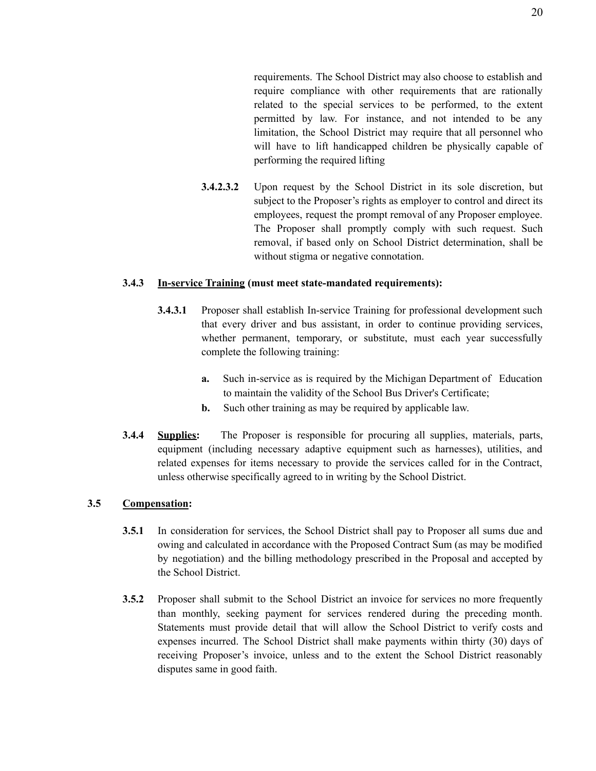requirements. The School District may also choose to establish and require compliance with other requirements that are rationally related to the special services to be performed, to the extent permitted by law. For instance, and not intended to be any limitation, the School District may require that all personnel who will have to lift handicapped children be physically capable of performing the required lifting

**3.4.2.3.2** Upon request by the School District in its sole discretion, but subject to the Proposer's rights as employer to control and direct its employees, request the prompt removal of any Proposer employee. The Proposer shall promptly comply with such request. Such removal, if based only on School District determination, shall be without stigma or negative connotation.

#### **3.4.3 In-service Training (must meet state-mandated requirements):**

- **3.4.3.1** Proposer shall establish In-service Training for professional development such that every driver and bus assistant, in order to continue providing services, whether permanent, temporary, or substitute, must each year successfully complete the following training:
	- **a.** Such in-service as is required by the Michigan Department of Education to maintain the validity of the School Bus Driver's Certificate;
	- **b.** Such other training as may be required by applicable law.
- **3.4.4 Supplies:** The Proposer is responsible for procuring all supplies, materials, parts, equipment (including necessary adaptive equipment such as harnesses), utilities, and related expenses for items necessary to provide the services called for in the Contract, unless otherwise specifically agreed to in writing by the School District.

#### **3.5 Compensation:**

- **3.5.1** In consideration for services, the School District shall pay to Proposer all sums due and owing and calculated in accordance with the Proposed Contract Sum (as may be modified by negotiation) and the billing methodology prescribed in the Proposal and accepted by the School District.
- **3.5.2** Proposer shall submit to the School District an invoice for services no more frequently than monthly, seeking payment for services rendered during the preceding month. Statements must provide detail that will allow the School District to verify costs and expenses incurred. The School District shall make payments within thirty (30) days of receiving Proposer's invoice, unless and to the extent the School District reasonably disputes same in good faith.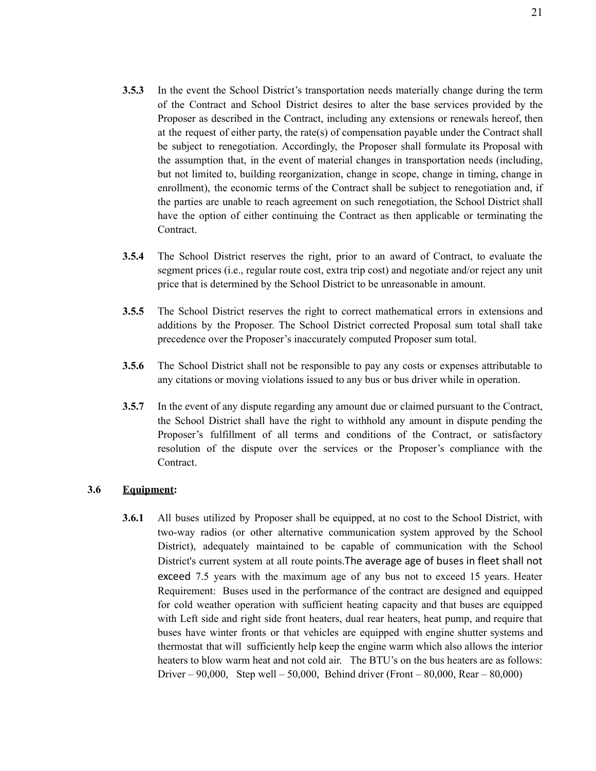- **3.5.3** In the event the School District's transportation needs materially change during the term of the Contract and School District desires to alter the base services provided by the Proposer as described in the Contract, including any extensions or renewals hereof, then at the request of either party, the rate(s) of compensation payable under the Contract shall be subject to renegotiation. Accordingly, the Proposer shall formulate its Proposal with the assumption that, in the event of material changes in transportation needs (including, but not limited to, building reorganization, change in scope, change in timing, change in enrollment), the economic terms of the Contract shall be subject to renegotiation and, if the parties are unable to reach agreement on such renegotiation, the School District shall have the option of either continuing the Contract as then applicable or terminating the Contract.
- **3.5.4** The School District reserves the right, prior to an award of Contract, to evaluate the segment prices (i.e., regular route cost, extra trip cost) and negotiate and/or reject any unit price that is determined by the School District to be unreasonable in amount.
- **3.5.5** The School District reserves the right to correct mathematical errors in extensions and additions by the Proposer. The School District corrected Proposal sum total shall take precedence over the Proposer's inaccurately computed Proposer sum total.
- **3.5.6** The School District shall not be responsible to pay any costs or expenses attributable to any citations or moving violations issued to any bus or bus driver while in operation.
- **3.5.7** In the event of any dispute regarding any amount due or claimed pursuant to the Contract, the School District shall have the right to withhold any amount in dispute pending the Proposer's fulfillment of all terms and conditions of the Contract, or satisfactory resolution of the dispute over the services or the Proposer's compliance with the Contract.

### **3.6 Equipment:**

**3.6.1** All buses utilized by Proposer shall be equipped, at no cost to the School District, with two-way radios (or other alternative communication system approved by the School District), adequately maintained to be capable of communication with the School District's current system at all route points.The average age of buses in fleet shall not exceed 7.5 years with the maximum age of any bus not to exceed 15 years. Heater Requirement: Buses used in the performance of the contract are designed and equipped for cold weather operation with sufficient heating capacity and that buses are equipped with Left side and right side front heaters, dual rear heaters, heat pump, and require that buses have winter fronts or that vehicles are equipped with engine shutter systems and thermostat that will sufficiently help keep the engine warm which also allows the interior heaters to blow warm heat and not cold air. The BTU's on the bus heaters are as follows: Driver – 90,000, Step well – 50,000, Behind driver (Front – 80,000, Rear – 80,000)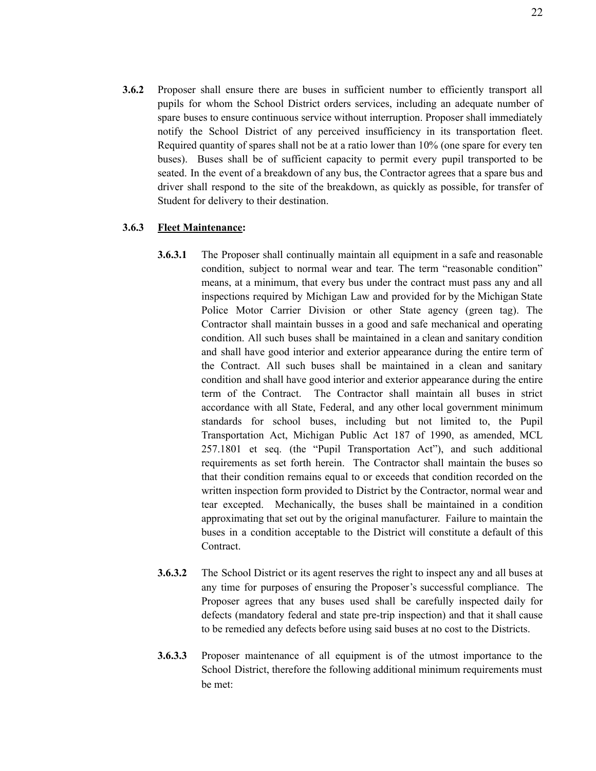**3.6.2** Proposer shall ensure there are buses in sufficient number to efficiently transport all pupils for whom the School District orders services, including an adequate number of spare buses to ensure continuous service without interruption. Proposer shall immediately notify the School District of any perceived insufficiency in its transportation fleet. Required quantity of spares shall not be at a ratio lower than 10% (one spare for every ten buses). Buses shall be of sufficient capacity to permit every pupil transported to be seated. In the event of a breakdown of any bus, the Contractor agrees that a spare bus and driver shall respond to the site of the breakdown, as quickly as possible, for transfer of Student for delivery to their destination.

### **3.6.3 Fleet Maintenance:**

- **3.6.3.1** The Proposer shall continually maintain all equipment in a safe and reasonable condition, subject to normal wear and tear. The term "reasonable condition" means, at a minimum, that every bus under the contract must pass any and all inspections required by Michigan Law and provided for by the Michigan State Police Motor Carrier Division or other State agency (green tag). The Contractor shall maintain busses in a good and safe mechanical and operating condition. All such buses shall be maintained in a clean and sanitary condition and shall have good interior and exterior appearance during the entire term of the Contract. All such buses shall be maintained in a clean and sanitary condition and shall have good interior and exterior appearance during the entire term of the Contract. The Contractor shall maintain all buses in strict accordance with all State, Federal, and any other local government minimum standards for school buses, including but not limited to, the Pupil Transportation Act, Michigan Public Act 187 of 1990, as amended, MCL 257.1801 et seq. (the "Pupil Transportation Act"), and such additional requirements as set forth herein. The Contractor shall maintain the buses so that their condition remains equal to or exceeds that condition recorded on the written inspection form provided to District by the Contractor, normal wear and tear excepted. Mechanically, the buses shall be maintained in a condition approximating that set out by the original manufacturer. Failure to maintain the buses in a condition acceptable to the District will constitute a default of this Contract.
- **3.6.3.2** The School District or its agent reserves the right to inspect any and all buses at any time for purposes of ensuring the Proposer's successful compliance. The Proposer agrees that any buses used shall be carefully inspected daily for defects (mandatory federal and state pre-trip inspection) and that it shall cause to be remedied any defects before using said buses at no cost to the Districts.
- **3.6.3.3** Proposer maintenance of all equipment is of the utmost importance to the School District, therefore the following additional minimum requirements must be met: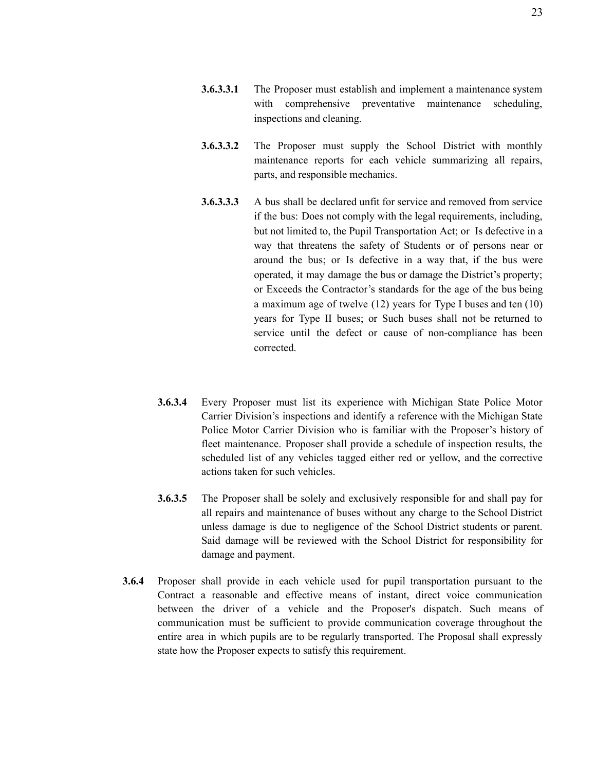- **3.6.3.3.1** The Proposer must establish and implement a maintenance system with comprehensive preventative maintenance scheduling, inspections and cleaning.
- **3.6.3.3.2** The Proposer must supply the School District with monthly maintenance reports for each vehicle summarizing all repairs, parts, and responsible mechanics.
- **3.6.3.3.3** A bus shall be declared unfit for service and removed from service if the bus: Does not comply with the legal requirements, including, but not limited to, the Pupil Transportation Act; or Is defective in a way that threatens the safety of Students or of persons near or around the bus; or Is defective in a way that, if the bus were operated, it may damage the bus or damage the District's property; or Exceeds the Contractor's standards for the age of the bus being a maximum age of twelve (12) years for Type I buses and ten (10) years for Type II buses; or Such buses shall not be returned to service until the defect or cause of non-compliance has been corrected.
- **3.6.3.4** Every Proposer must list its experience with Michigan State Police Motor Carrier Division's inspections and identify a reference with the Michigan State Police Motor Carrier Division who is familiar with the Proposer's history of fleet maintenance. Proposer shall provide a schedule of inspection results, the scheduled list of any vehicles tagged either red or yellow, and the corrective actions taken for such vehicles.
- **3.6.3.5** The Proposer shall be solely and exclusively responsible for and shall pay for all repairs and maintenance of buses without any charge to the School District unless damage is due to negligence of the School District students or parent. Said damage will be reviewed with the School District for responsibility for damage and payment.
- **3.6.4** Proposer shall provide in each vehicle used for pupil transportation pursuant to the Contract a reasonable and effective means of instant, direct voice communication between the driver of a vehicle and the Proposer's dispatch. Such means of communication must be sufficient to provide communication coverage throughout the entire area in which pupils are to be regularly transported. The Proposal shall expressly state how the Proposer expects to satisfy this requirement.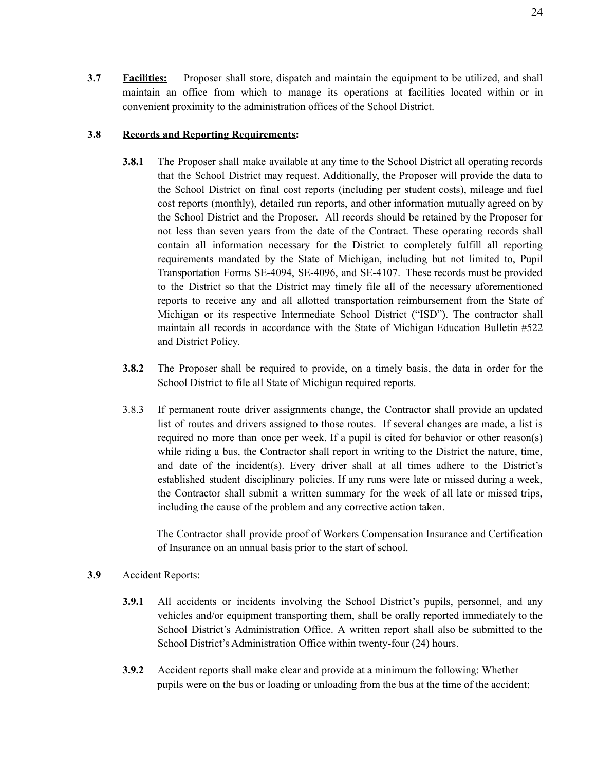**3.7 Facilities:** Proposer shall store, dispatch and maintain the equipment to be utilized, and shall maintain an office from which to manage its operations at facilities located within or in convenient proximity to the administration offices of the School District.

#### **3.8 Records and Reporting Requirements:**

- **3.8.1** The Proposer shall make available at any time to the School District all operating records that the School District may request. Additionally, the Proposer will provide the data to the School District on final cost reports (including per student costs), mileage and fuel cost reports (monthly), detailed run reports, and other information mutually agreed on by the School District and the Proposer. All records should be retained by the Proposer for not less than seven years from the date of the Contract. These operating records shall contain all information necessary for the District to completely fulfill all reporting requirements mandated by the State of Michigan, including but not limited to, Pupil Transportation Forms SE-4094, SE-4096, and SE-4107. These records must be provided to the District so that the District may timely file all of the necessary aforementioned reports to receive any and all allotted transportation reimbursement from the State of Michigan or its respective Intermediate School District ("ISD"). The contractor shall maintain all records in accordance with the State of Michigan Education Bulletin #522 and District Policy.
- **3.8.2** The Proposer shall be required to provide, on a timely basis, the data in order for the School District to file all State of Michigan required reports.
- 3.8.3 If permanent route driver assignments change, the Contractor shall provide an updated list of routes and drivers assigned to those routes. If several changes are made, a list is required no more than once per week. If a pupil is cited for behavior or other reason(s) while riding a bus, the Contractor shall report in writing to the District the nature, time, and date of the incident(s). Every driver shall at all times adhere to the District's established student disciplinary policies. If any runs were late or missed during a week, the Contractor shall submit a written summary for the week of all late or missed trips, including the cause of the problem and any corrective action taken.

The Contractor shall provide proof of Workers Compensation Insurance and Certification of Insurance on an annual basis prior to the start of school.

- **3.9** Accident Reports:
	- **3.9.1** All accidents or incidents involving the School District's pupils, personnel, and any vehicles and/or equipment transporting them, shall be orally reported immediately to the School District's Administration Office. A written report shall also be submitted to the School District's Administration Office within twenty-four (24) hours.
	- **3.9.2** Accident reports shall make clear and provide at a minimum the following: Whether pupils were on the bus or loading or unloading from the bus at the time of the accident;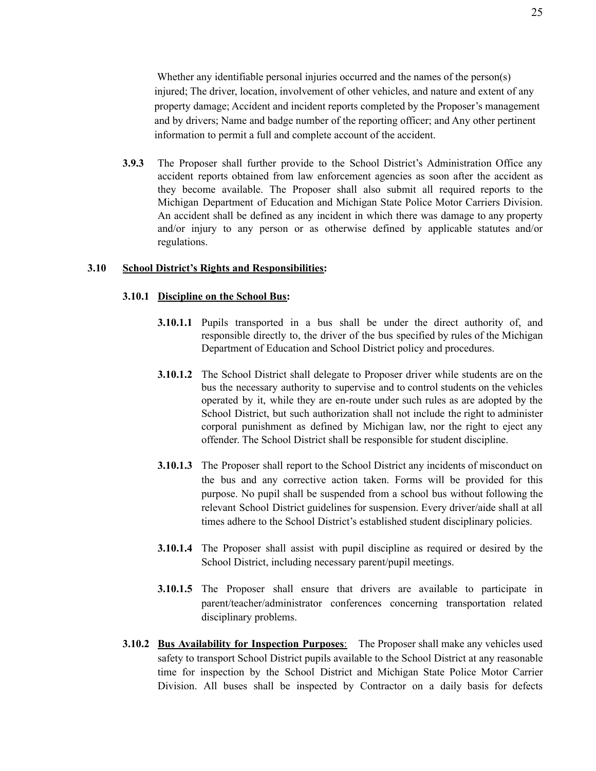Whether any identifiable personal injuries occurred and the names of the person(s) injured; The driver, location, involvement of other vehicles, and nature and extent of any property damage; Accident and incident reports completed by the Proposer's management and by drivers; Name and badge number of the reporting officer; and Any other pertinent information to permit a full and complete account of the accident.

**3.9.3** The Proposer shall further provide to the School District's Administration Office any accident reports obtained from law enforcement agencies as soon after the accident as they become available. The Proposer shall also submit all required reports to the Michigan Department of Education and Michigan State Police Motor Carriers Division. An accident shall be defined as any incident in which there was damage to any property and/or injury to any person or as otherwise defined by applicable statutes and/or regulations.

#### **3.10 School District's Rights and Responsibilities:**

#### **3.10.1 Discipline on the School Bus:**

- **3.10.1.1** Pupils transported in a bus shall be under the direct authority of, and responsible directly to, the driver of the bus specified by rules of the Michigan Department of Education and School District policy and procedures.
- **3.10.1.2** The School District shall delegate to Proposer driver while students are on the bus the necessary authority to supervise and to control students on the vehicles operated by it, while they are en-route under such rules as are adopted by the School District, but such authorization shall not include the right to administer corporal punishment as defined by Michigan law, nor the right to eject any offender. The School District shall be responsible for student discipline.
- **3.10.1.3** The Proposer shall report to the School District any incidents of misconduct on the bus and any corrective action taken. Forms will be provided for this purpose. No pupil shall be suspended from a school bus without following the relevant School District guidelines for suspension. Every driver/aide shall at all times adhere to the School District's established student disciplinary policies.
- **3.10.1.4** The Proposer shall assist with pupil discipline as required or desired by the School District, including necessary parent/pupil meetings.
- **3.10.1.5** The Proposer shall ensure that drivers are available to participate in parent/teacher/administrator conferences concerning transportation related disciplinary problems.
- **3.10.2 Bus Availability for Inspection Purposes**: The Proposer shall make any vehicles used safety to transport School District pupils available to the School District at any reasonable time for inspection by the School District and Michigan State Police Motor Carrier Division. All buses shall be inspected by Contractor on a daily basis for defects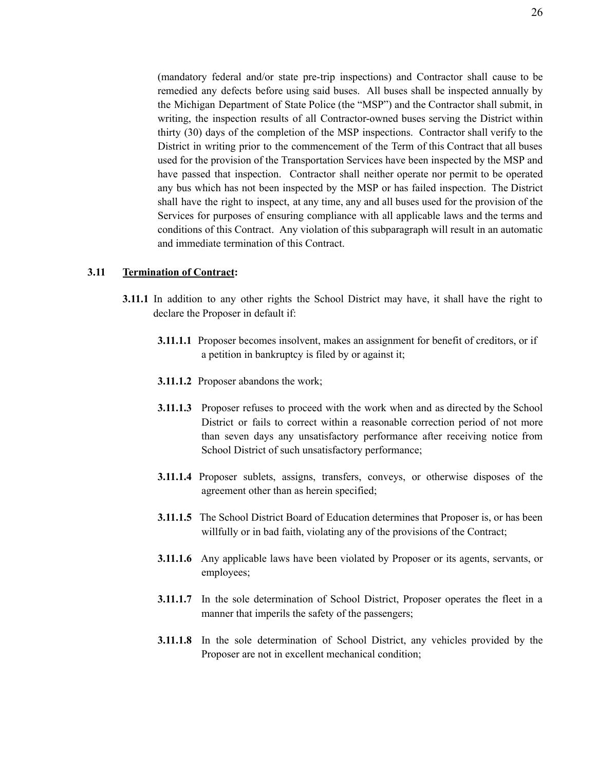(mandatory federal and/or state pre-trip inspections) and Contractor shall cause to be remedied any defects before using said buses. All buses shall be inspected annually by the Michigan Department of State Police (the "MSP") and the Contractor shall submit, in writing, the inspection results of all Contractor-owned buses serving the District within thirty (30) days of the completion of the MSP inspections. Contractor shall verify to the District in writing prior to the commencement of the Term of this Contract that all buses used for the provision of the Transportation Services have been inspected by the MSP and have passed that inspection. Contractor shall neither operate nor permit to be operated any bus which has not been inspected by the MSP or has failed inspection. The District shall have the right to inspect, at any time, any and all buses used for the provision of the Services for purposes of ensuring compliance with all applicable laws and the terms and conditions of this Contract. Any violation of this subparagraph will result in an automatic and immediate termination of this Contract.

#### **3.11 Termination of Contract:**

- **3.11.1** In addition to any other rights the School District may have, it shall have the right to declare the Proposer in default if:
	- **3.11.1.1** Proposer becomes insolvent, makes an assignment for benefit of creditors, or if a petition in bankruptcy is filed by or against it;
	- **3.11.1.2** Proposer abandons the work;
	- **3.11.1.3** Proposer refuses to proceed with the work when and as directed by the School District or fails to correct within a reasonable correction period of not more than seven days any unsatisfactory performance after receiving notice from School District of such unsatisfactory performance;
	- **3.11.1.4** Proposer sublets, assigns, transfers, conveys, or otherwise disposes of the agreement other than as herein specified;
	- **3.11.1.5** The School District Board of Education determines that Proposer is, or has been willfully or in bad faith, violating any of the provisions of the Contract;
	- **3.11.1.6** Any applicable laws have been violated by Proposer or its agents, servants, or employees;
	- **3.11.1.7** In the sole determination of School District, Proposer operates the fleet in a manner that imperils the safety of the passengers;
	- **3.11.1.8** In the sole determination of School District, any vehicles provided by the Proposer are not in excellent mechanical condition;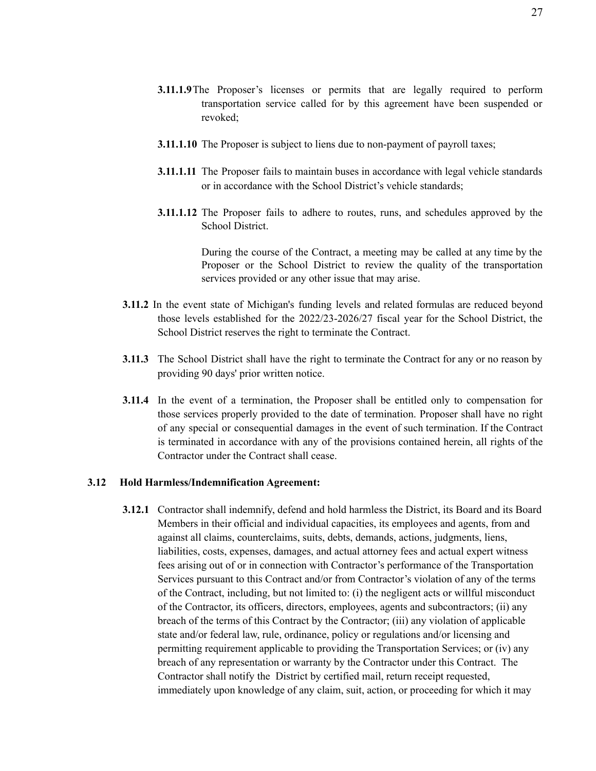- **3.11.1.9**The Proposer's licenses or permits that are legally required to perform transportation service called for by this agreement have been suspended or revoked;
- **3.11.1.10** The Proposer is subject to liens due to non-payment of payroll taxes;
- **3.11.1.11** The Proposer fails to maintain buses in accordance with legal vehicle standards or in accordance with the School District's vehicle standards;
- **3.11.1.12** The Proposer fails to adhere to routes, runs, and schedules approved by the School District.

During the course of the Contract, a meeting may be called at any time by the Proposer or the School District to review the quality of the transportation services provided or any other issue that may arise.

- **3.11.2** In the event state of Michigan's funding levels and related formulas are reduced beyond those levels established for the 2022/23-2026/27 fiscal year for the School District, the School District reserves the right to terminate the Contract.
- **3.11.3** The School District shall have the right to terminate the Contract for any or no reason by providing 90 days' prior written notice.
- **3.11.4** In the event of a termination, the Proposer shall be entitled only to compensation for those services properly provided to the date of termination. Proposer shall have no right of any special or consequential damages in the event of such termination. If the Contract is terminated in accordance with any of the provisions contained herein, all rights of the Contractor under the Contract shall cease.

#### **3.12 Hold Harmless/Indemnification Agreement:**

**3.12.1** Contractor shall indemnify, defend and hold harmless the District, its Board and its Board Members in their official and individual capacities, its employees and agents, from and against all claims, counterclaims, suits, debts, demands, actions, judgments, liens, liabilities, costs, expenses, damages, and actual attorney fees and actual expert witness fees arising out of or in connection with Contractor's performance of the Transportation Services pursuant to this Contract and/or from Contractor's violation of any of the terms of the Contract, including, but not limited to: (i) the negligent acts or willful misconduct of the Contractor, its officers, directors, employees, agents and subcontractors; (ii) any breach of the terms of this Contract by the Contractor; (iii) any violation of applicable state and/or federal law, rule, ordinance, policy or regulations and/or licensing and permitting requirement applicable to providing the Transportation Services; or (iv) any breach of any representation or warranty by the Contractor under this Contract. The Contractor shall notify the District by certified mail, return receipt requested, immediately upon knowledge of any claim, suit, action, or proceeding for which it may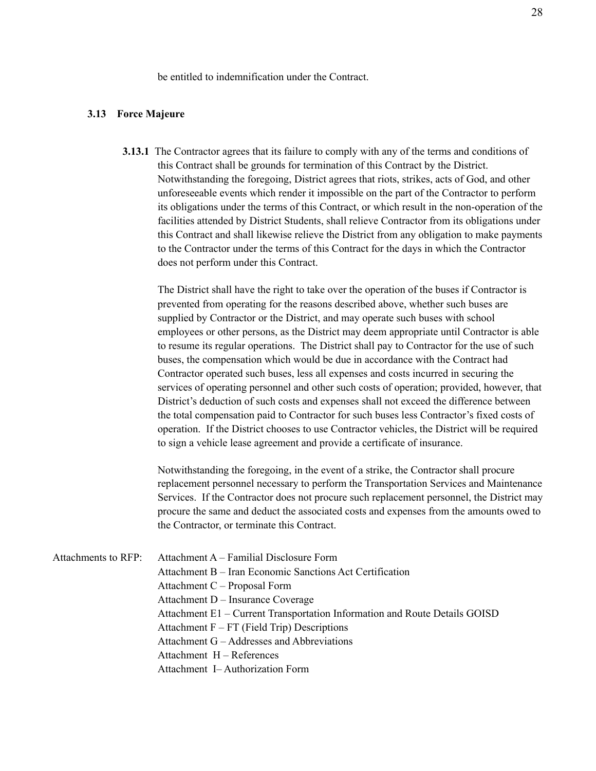be entitled to indemnification under the Contract.

#### **3.13 Force Majeure**

**3.13.1** The Contractor agrees that its failure to comply with any of the terms and conditions of this Contract shall be grounds for termination of this Contract by the District. Notwithstanding the foregoing, District agrees that riots, strikes, acts of God, and other unforeseeable events which render it impossible on the part of the Contractor to perform its obligations under the terms of this Contract, or which result in the non-operation of the facilities attended by District Students, shall relieve Contractor from its obligations under this Contract and shall likewise relieve the District from any obligation to make payments to the Contractor under the terms of this Contract for the days in which the Contractor does not perform under this Contract.

The District shall have the right to take over the operation of the buses if Contractor is prevented from operating for the reasons described above, whether such buses are supplied by Contractor or the District, and may operate such buses with school employees or other persons, as the District may deem appropriate until Contractor is able to resume its regular operations. The District shall pay to Contractor for the use of such buses, the compensation which would be due in accordance with the Contract had Contractor operated such buses, less all expenses and costs incurred in securing the services of operating personnel and other such costs of operation; provided, however, that District's deduction of such costs and expenses shall not exceed the difference between the total compensation paid to Contractor for such buses less Contractor's fixed costs of operation. If the District chooses to use Contractor vehicles, the District will be required to sign a vehicle lease agreement and provide a certificate of insurance.

Notwithstanding the foregoing, in the event of a strike, the Contractor shall procure replacement personnel necessary to perform the Transportation Services and Maintenance Services. If the Contractor does not procure such replacement personnel, the District may procure the same and deduct the associated costs and expenses from the amounts owed to the Contractor, or terminate this Contract.

| Attachments to RFP: Attachment A – Familial Disclosure Form                |
|----------------------------------------------------------------------------|
| Attachment B – Iran Economic Sanctions Act Certification                   |
| Attachment C – Proposal Form                                               |
| Attachment D – Insurance Coverage                                          |
| Attachment E1 – Current Transportation Information and Route Details GOISD |
| Attachment $F - FT$ (Field Trip) Descriptions                              |
| Attachment G – Addresses and Abbreviations                                 |
| Attachment H – References                                                  |
| Attachment I-Authorization Form                                            |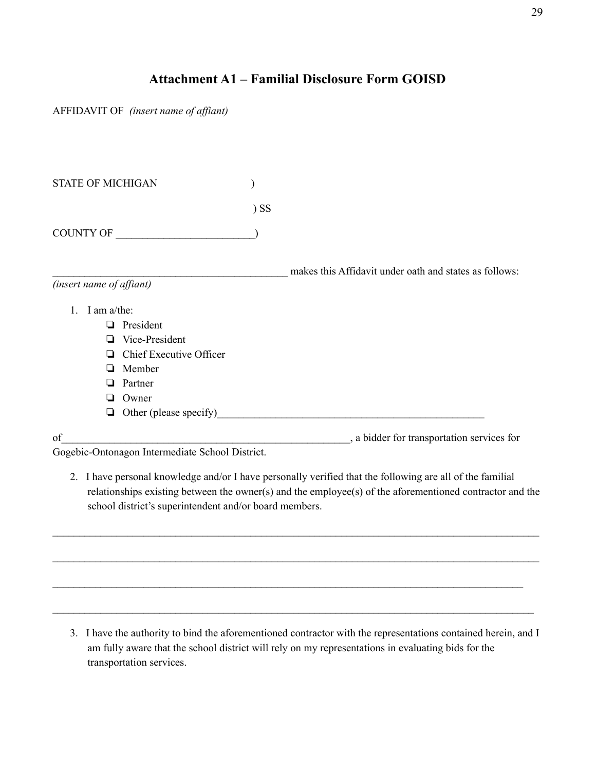# **Attachment A1 – Familial Disclosure Form GOISD**

AFFIDAVIT OF *(insert name of af iant)*

| <b>STATE OF MICHIGAN</b>                        |        |                                                                                                                                                                                                                                |
|-------------------------------------------------|--------|--------------------------------------------------------------------------------------------------------------------------------------------------------------------------------------------------------------------------------|
|                                                 | $)$ SS |                                                                                                                                                                                                                                |
| COUNTY OF                                       |        |                                                                                                                                                                                                                                |
|                                                 |        | makes this Affidavit under oath and states as follows:                                                                                                                                                                         |
| (insert name of affiant)                        |        |                                                                                                                                                                                                                                |
| I am $a$ /the:<br>$\mathbf{1}$                  |        |                                                                                                                                                                                                                                |
| President<br>ப                                  |        |                                                                                                                                                                                                                                |
| Vice-President<br>ப                             |        |                                                                                                                                                                                                                                |
| Chief Executive Officer                         |        |                                                                                                                                                                                                                                |
| Member<br>□                                     |        |                                                                                                                                                                                                                                |
| Partner<br>ப                                    |        |                                                                                                                                                                                                                                |
| Owner<br>ப                                      |        |                                                                                                                                                                                                                                |
| ❏                                               |        | Other (please specify) example and the state of the state of the state of the state of the state of the state of the state of the state of the state of the state of the state of the state of the state of the state of the s |
| of                                              |        | , a bidder for transportation services for                                                                                                                                                                                     |
| Gogebic-Ontonagon Intermediate School District. |        |                                                                                                                                                                                                                                |

2. I have personal knowledge and/or I have personally verified that the following are all of the familial relationships existing between the owner(s) and the employee(s) of the aforementioned contractor and the school district's superintendent and/or board members.

 $\mathcal{L}_\mathcal{L} = \mathcal{L}_\mathcal{L} = \mathcal{L}_\mathcal{L} = \mathcal{L}_\mathcal{L} = \mathcal{L}_\mathcal{L} = \mathcal{L}_\mathcal{L} = \mathcal{L}_\mathcal{L} = \mathcal{L}_\mathcal{L} = \mathcal{L}_\mathcal{L} = \mathcal{L}_\mathcal{L} = \mathcal{L}_\mathcal{L} = \mathcal{L}_\mathcal{L} = \mathcal{L}_\mathcal{L} = \mathcal{L}_\mathcal{L} = \mathcal{L}_\mathcal{L} = \mathcal{L}_\mathcal{L} = \mathcal{L}_\mathcal{L}$ 

 $\mathcal{L}_\mathcal{L} = \mathcal{L}_\mathcal{L} = \mathcal{L}_\mathcal{L} = \mathcal{L}_\mathcal{L} = \mathcal{L}_\mathcal{L} = \mathcal{L}_\mathcal{L} = \mathcal{L}_\mathcal{L} = \mathcal{L}_\mathcal{L} = \mathcal{L}_\mathcal{L} = \mathcal{L}_\mathcal{L} = \mathcal{L}_\mathcal{L} = \mathcal{L}_\mathcal{L} = \mathcal{L}_\mathcal{L} = \mathcal{L}_\mathcal{L} = \mathcal{L}_\mathcal{L} = \mathcal{L}_\mathcal{L} = \mathcal{L}_\mathcal{L}$ 

 $\mathcal{L}_\mathcal{L} = \{ \mathcal{L}_\mathcal{L} = \{ \mathcal{L}_\mathcal{L} = \{ \mathcal{L}_\mathcal{L} = \{ \mathcal{L}_\mathcal{L} = \{ \mathcal{L}_\mathcal{L} = \{ \mathcal{L}_\mathcal{L} = \{ \mathcal{L}_\mathcal{L} = \{ \mathcal{L}_\mathcal{L} = \{ \mathcal{L}_\mathcal{L} = \{ \mathcal{L}_\mathcal{L} = \{ \mathcal{L}_\mathcal{L} = \{ \mathcal{L}_\mathcal{L} = \{ \mathcal{L}_\mathcal{L} = \{ \mathcal{L}_\mathcal{$ 

 $\mathcal{L}_\mathcal{L} = \{ \mathcal{L}_\mathcal{L} = \{ \mathcal{L}_\mathcal{L} = \{ \mathcal{L}_\mathcal{L} = \{ \mathcal{L}_\mathcal{L} = \{ \mathcal{L}_\mathcal{L} = \{ \mathcal{L}_\mathcal{L} = \{ \mathcal{L}_\mathcal{L} = \{ \mathcal{L}_\mathcal{L} = \{ \mathcal{L}_\mathcal{L} = \{ \mathcal{L}_\mathcal{L} = \{ \mathcal{L}_\mathcal{L} = \{ \mathcal{L}_\mathcal{L} = \{ \mathcal{L}_\mathcal{L} = \{ \mathcal{L}_\mathcal{$ 

3. I have the authority to bind the aforementioned contractor with the representations contained herein, and I am fully aware that the school district will rely on my representations in evaluating bids for the transportation services.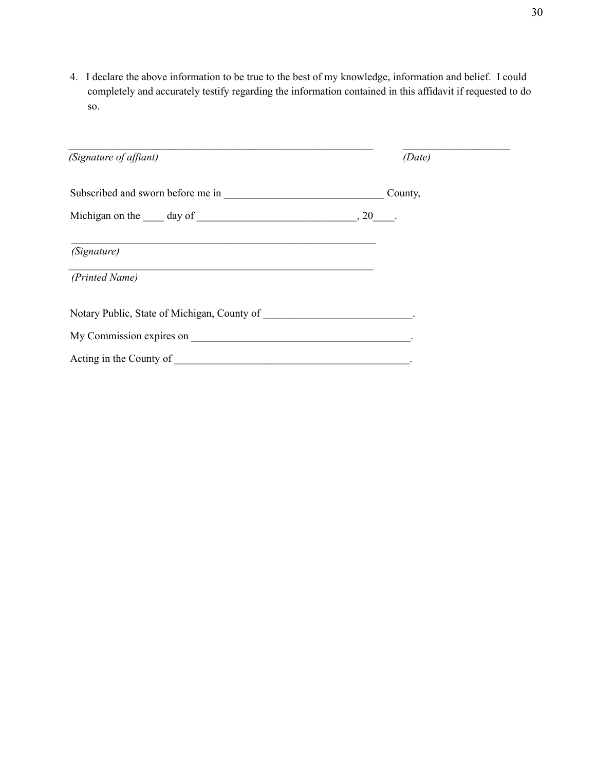4. I declare the above information to be true to the best of my knowledge, information and belief. I could completely and accurately testify regarding the information contained in this affidavit if requested to do so.

| (Signature of affiant)                                                     |  | (Date)  |  |
|----------------------------------------------------------------------------|--|---------|--|
|                                                                            |  | County, |  |
| Michigan on the $\_\_\_$ day of $\_\_\_\_\_\_\_\_$ . 20 $\_\_\_\_\_\_$ .   |  |         |  |
| (Signature)                                                                |  |         |  |
| (Printed Name)                                                             |  |         |  |
| Notary Public, State of Michigan, County of _____________________________. |  |         |  |
|                                                                            |  |         |  |
|                                                                            |  |         |  |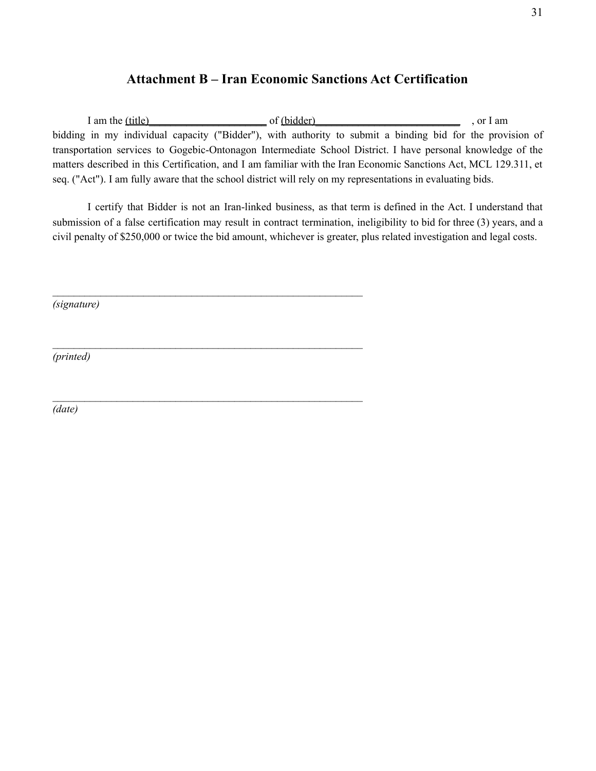## **Attachment B – Iran Economic Sanctions Act Certification**

I am the (title) of (bidder) of (bidder) or I am bidding in my individual capacity ("Bidder"), with authority to submit a binding bid for the provision of transportation services to Gogebic-Ontonagon Intermediate School District. I have personal knowledge of the matters described in this Certification, and I am familiar with the Iran Economic Sanctions Act, MCL 129.311, et seq. ("Act"). I am fully aware that the school district will rely on my representations in evaluating bids.

I certify that Bidder is not an Iran-linked business, as that term is defined in the Act. I understand that submission of a false certification may result in contract termination, ineligibility to bid for three (3) years, and a civil penalty of \$250,000 or twice the bid amount, whichever is greater, plus related investigation and legal costs.

 $\mathcal{L}_\text{max}$  and the contract of the contract of the contract of the contract of the contract of the contract of the contract of the contract of the contract of the contract of the contract of the contract of the contrac

 $\mathcal{L}_\text{max}$  and the contract of the contract of the contract of the contract of the contract of the contract of the contract of the contract of the contract of the contract of the contract of the contract of the contrac

 $\mathcal{L}_\text{max}$  and the contract of the contract of the contract of the contract of the contract of the contract of the contract of the contract of the contract of the contract of the contract of the contract of the contrac

*(signature)*

*(printed)*

*(date)*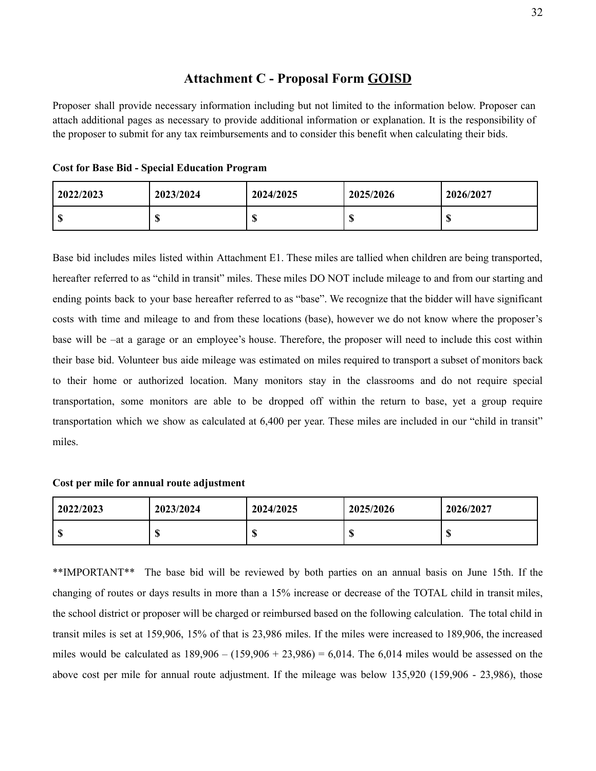### **Attachment C - Proposal Form GOISD**

Proposer shall provide necessary information including but not limited to the information below. Proposer can attach additional pages as necessary to provide additional information or explanation. It is the responsibility of the proposer to submit for any tax reimbursements and to consider this benefit when calculating their bids.

| 2022/2023        | 2023/2024        | 2024/2025 | 2025/2026 | 2026/2027 |
|------------------|------------------|-----------|-----------|-----------|
| $\sqrt{2}$<br>٨D | $\sqrt{2}$<br>ΝЮ |           | w         | w         |

Base bid includes miles listed within Attachment E1. These miles are tallied when children are being transported, hereafter referred to as "child in transit" miles. These miles DO NOT include mileage to and from our starting and ending points back to your base hereafter referred to as "base". We recognize that the bidder will have significant costs with time and mileage to and from these locations (base), however we do not know where the proposer's base will be –at a garage or an employee's house. Therefore, the proposer will need to include this cost within their base bid. Volunteer bus aide mileage was estimated on miles required to transport a subset of monitors back to their home or authorized location. Many monitors stay in the classrooms and do not require special transportation, some monitors are able to be dropped off within the return to base, yet a group require transportation which we show as calculated at 6,400 per year. These miles are included in our "child in transit" miles.

#### **Cost per mile for annual route adjustment**

| 2022/2023 | 2023/2024 | 2024/2025 | 2025/2026 | 2026/2027 |
|-----------|-----------|-----------|-----------|-----------|
| l S       | w         | w         | w         | AD.       |

\*\*IMPORTANT\*\* The base bid will be reviewed by both parties on an annual basis on June 15th. If the changing of routes or days results in more than a 15% increase or decrease of the TOTAL child in transit miles, the school district or proposer will be charged or reimbursed based on the following calculation. The total child in transit miles is set at 159,906, 15% of that is 23,986 miles. If the miles were increased to 189,906, the increased miles would be calculated as  $189,906 - (159,906 + 23,986) = 6,014$ . The 6,014 miles would be assessed on the above cost per mile for annual route adjustment. If the mileage was below 135,920 (159,906 - 23,986), those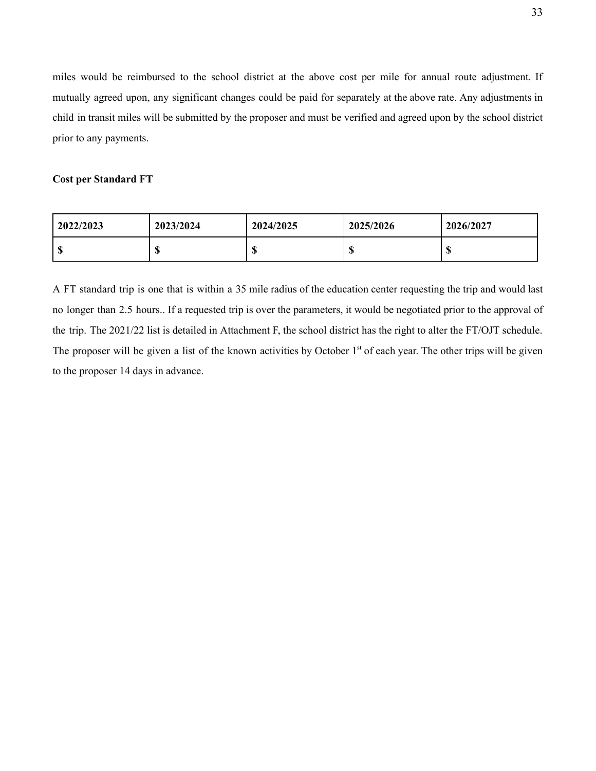miles would be reimbursed to the school district at the above cost per mile for annual route adjustment. If mutually agreed upon, any significant changes could be paid for separately at the above rate. Any adjustments in child in transit miles will be submitted by the proposer and must be verified and agreed upon by the school district prior to any payments.

#### **Cost per Standard FT**

| 2022/2023 | 2023/2024 | 2024/2025 | 2025/2026 | 2026/2027 |
|-----------|-----------|-----------|-----------|-----------|
| АĐ        | 4<br>ъD   |           | Ψ         | w         |

A FT standard trip is one that is within a 35 mile radius of the education center requesting the trip and would last no longer than 2.5 hours.. If a requested trip is over the parameters, it would be negotiated prior to the approval of the trip. The 2021/22 list is detailed in Attachment F, the school district has the right to alter the FT/OJT schedule. The proposer will be given a list of the known activities by October 1<sup>st</sup> of each year. The other trips will be given to the proposer 14 days in advance.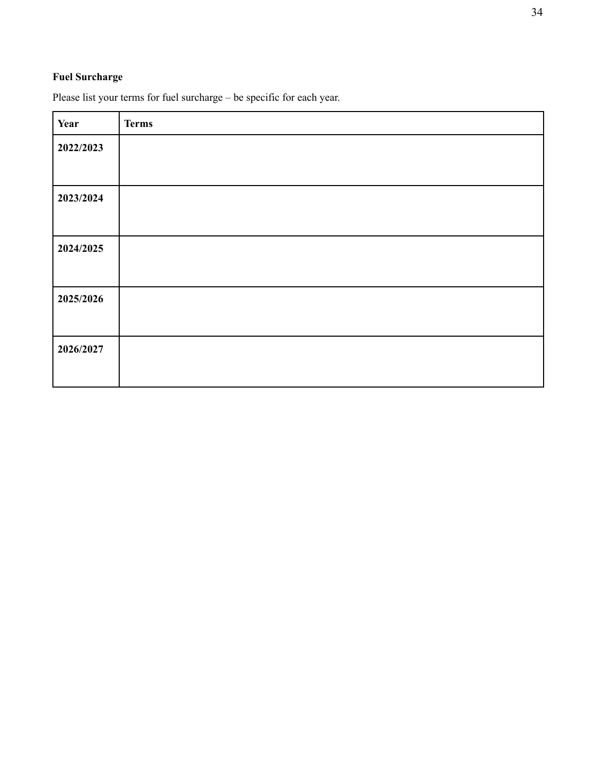## **Fuel Surcharge**

| Year      | <b>Terms</b> |
|-----------|--------------|
| 2022/2023 |              |
|           |              |
| 2023/2024 |              |
|           |              |
| 2024/2025 |              |
|           |              |
| 2025/2026 |              |
|           |              |
| 2026/2027 |              |
|           |              |

Please list your terms for fuel surcharge – be specific for each year.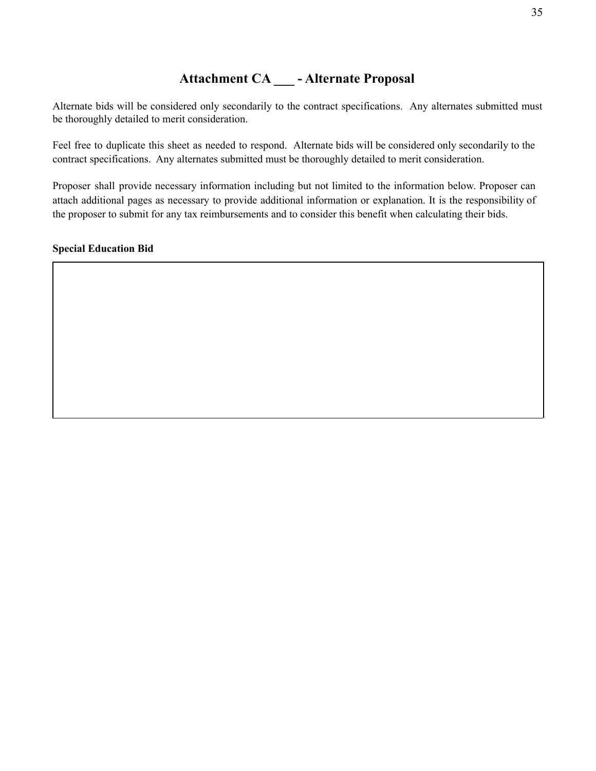# **Attachment CA \_\_\_ - Alternate Proposal**

Alternate bids will be considered only secondarily to the contract specifications. Any alternates submitted must be thoroughly detailed to merit consideration.

Feel free to duplicate this sheet as needed to respond. Alternate bids will be considered only secondarily to the contract specifications. Any alternates submitted must be thoroughly detailed to merit consideration.

Proposer shall provide necessary information including but not limited to the information below. Proposer can attach additional pages as necessary to provide additional information or explanation. It is the responsibility of the proposer to submit for any tax reimbursements and to consider this benefit when calculating their bids.

#### **Special Education Bid**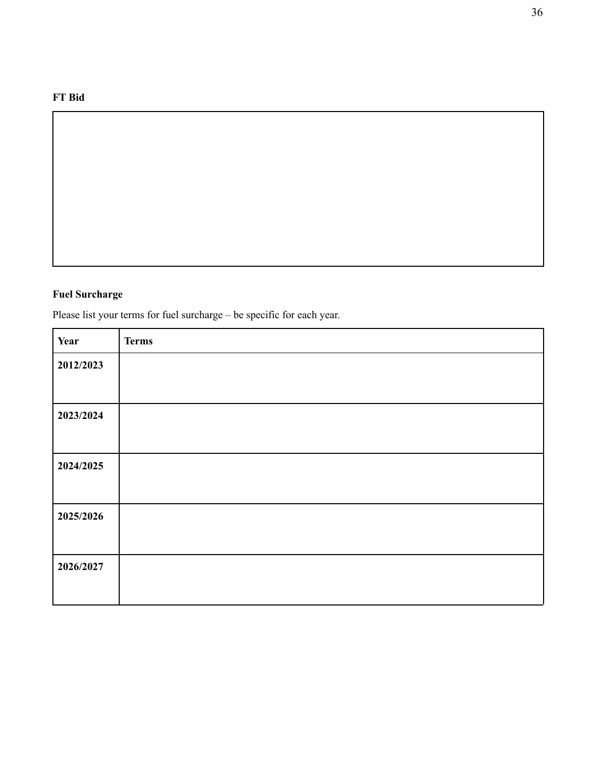### **FT Bid**

### **Fuel Surcharge**

Please list your terms for fuel surcharge – be specific for each year.

| Year      | <b>Terms</b> |
|-----------|--------------|
| 2012/2023 |              |
|           |              |
| 2023/2024 |              |
|           |              |
| 2024/2025 |              |
|           |              |
| 2025/2026 |              |
|           |              |
| 2026/2027 |              |
|           |              |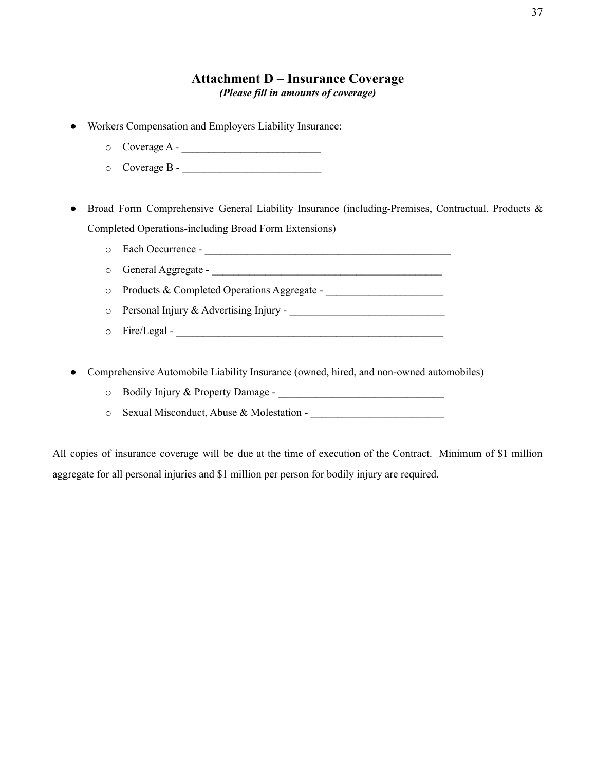### **Attachment D – Insurance Coverage** *(Please fill in amounts of coverage)*

- Workers Compensation and Employers Liability Insurance:
	- o Coverage A \_\_\_\_\_\_\_\_\_\_\_\_\_\_\_\_\_\_\_\_\_\_\_\_\_\_
	- o Coverage B \_\_\_\_\_\_\_\_\_\_\_\_\_\_\_\_\_\_\_\_\_\_\_\_\_\_

Broad Form Comprehensive General Liability Insurance (including-Premises, Contractual, Products & Completed Operations-including Broad Form Extensions)

- o Each Occurrence \_\_\_\_\_\_\_\_\_\_\_\_\_\_\_\_\_\_\_\_\_\_\_\_\_\_\_\_\_\_\_\_\_\_\_\_\_\_\_\_\_\_\_\_\_\_
- o General Aggregate \_\_\_\_\_\_\_\_\_\_\_\_\_\_\_\_\_\_\_\_\_\_\_\_\_\_\_\_\_\_\_\_\_\_\_\_\_\_\_\_\_\_\_
- o Products & Completed Operations Aggregate \_\_\_\_\_\_\_\_\_\_\_\_\_\_\_\_\_\_\_\_\_\_
- o Personal Injury & Advertising Injury \_\_\_\_\_\_\_\_\_\_\_\_\_\_\_\_\_\_\_\_\_\_\_\_\_\_\_\_\_
- o Fire/Legal \_\_\_\_\_\_\_\_\_\_\_\_\_\_\_\_\_\_\_\_\_\_\_\_\_\_\_\_\_\_\_\_\_\_\_\_\_\_\_\_\_\_\_\_\_\_\_\_\_\_
- Comprehensive Automobile Liability Insurance (owned, hired, and non-owned automobiles)
	- o Bodily Injury & Property Damage \_\_\_\_\_\_\_\_\_\_\_\_\_\_\_\_\_\_\_\_\_\_\_\_\_\_\_\_\_\_\_
	- o Sexual Misconduct, Abuse & Molestation \_\_\_\_\_\_\_\_\_\_\_\_\_\_\_\_\_\_\_\_\_\_\_\_\_

All copies of insurance coverage will be due at the time of execution of the Contract. Minimum of \$1 million aggregate for all personal injuries and \$1 million per person for bodily injury are required.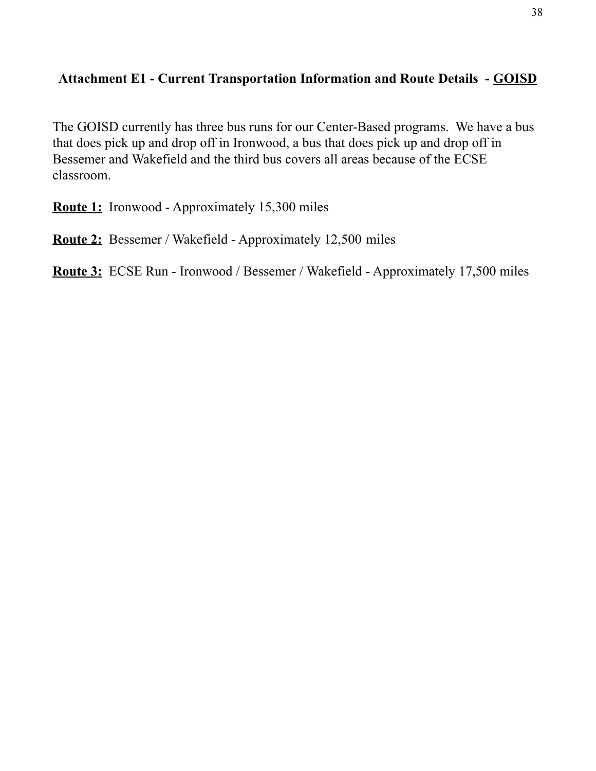# **Attachment E1 - Current Transportation Information and Route Details - GOISD**

The GOISD currently has three bus runs for our Center-Based programs. We have a bus that does pick up and drop off in Ironwood, a bus that does pick up and drop off in Bessemer and Wakefield and the third bus covers all areas because of the ECSE classroom.

**Route 1:** Ironwood - Approximately 15,300 miles

**Route 2:** Bessemer / Wakefield - Approximately 12,500 miles

**Route 3:** ECSE Run - Ironwood / Bessemer / Wakefield - Approximately 17,500 miles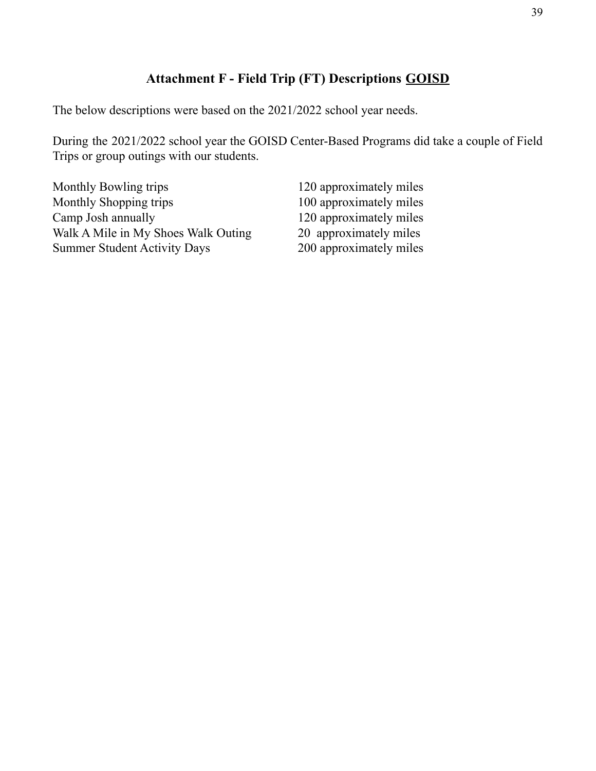# **Attachment F - Field Trip (FT) Descriptions GOISD**

The below descriptions were based on the 2021/2022 school year needs.

During the 2021/2022 school year the GOISD Center-Based Programs did take a couple of Field Trips or group outings with our students.

| Monthly Bowling trips               | 120 approximately miles |
|-------------------------------------|-------------------------|
| Monthly Shopping trips              | 100 approximately miles |
| Camp Josh annually                  | 120 approximately miles |
| Walk A Mile in My Shoes Walk Outing | 20 approximately miles  |
| <b>Summer Student Activity Days</b> | 200 approximately miles |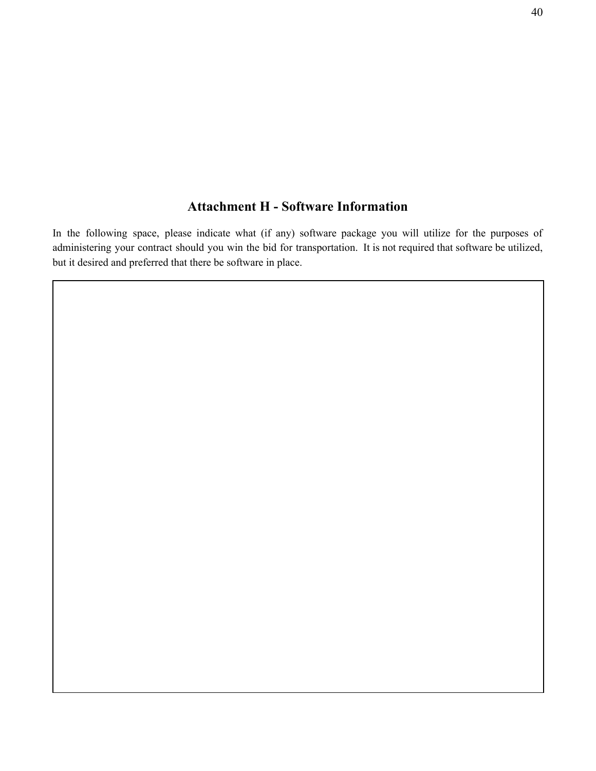# **Attachment H - Software Information**

In the following space, please indicate what (if any) software package you will utilize for the purposes of administering your contract should you win the bid for transportation. It is not required that software be utilized, but it desired and preferred that there be software in place.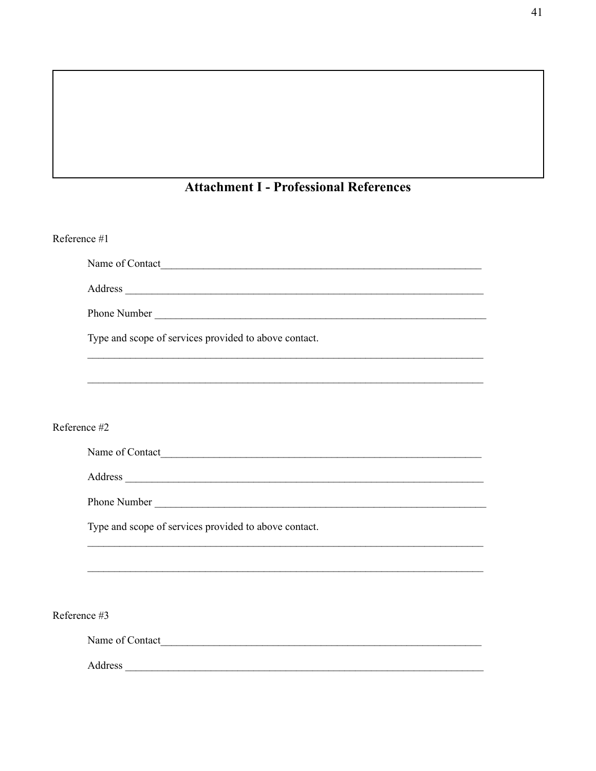# **Attachment I - Professional References**

| Reference #1                                                                                                                                                                                                                   |
|--------------------------------------------------------------------------------------------------------------------------------------------------------------------------------------------------------------------------------|
|                                                                                                                                                                                                                                |
| Address and the contract of the contract of the contract of the contract of the contract of the contract of the contract of the contract of the contract of the contract of the contract of the contract of the contract of th |
|                                                                                                                                                                                                                                |
| Type and scope of services provided to above contact.                                                                                                                                                                          |
| ,我们也不会有什么。""我们的人,我们也不会有什么?""我们的人,我们也不会有什么?""我们的人,我们也不会有什么?""我们的人,我们也不会有什么?""我们的人                                                                                                                                               |
|                                                                                                                                                                                                                                |
| Reference #2                                                                                                                                                                                                                   |
| Name of Contact <u>International Contract</u>                                                                                                                                                                                  |
| Address experience and the contract of the contract of the contract of the contract of the contract of the contract of the contract of the contract of the contract of the contract of the contract of the contract of the con |
|                                                                                                                                                                                                                                |
| Type and scope of services provided to above contact.                                                                                                                                                                          |
|                                                                                                                                                                                                                                |
|                                                                                                                                                                                                                                |
| Reference #3                                                                                                                                                                                                                   |
| Name of Contact                                                                                                                                                                                                                |
|                                                                                                                                                                                                                                |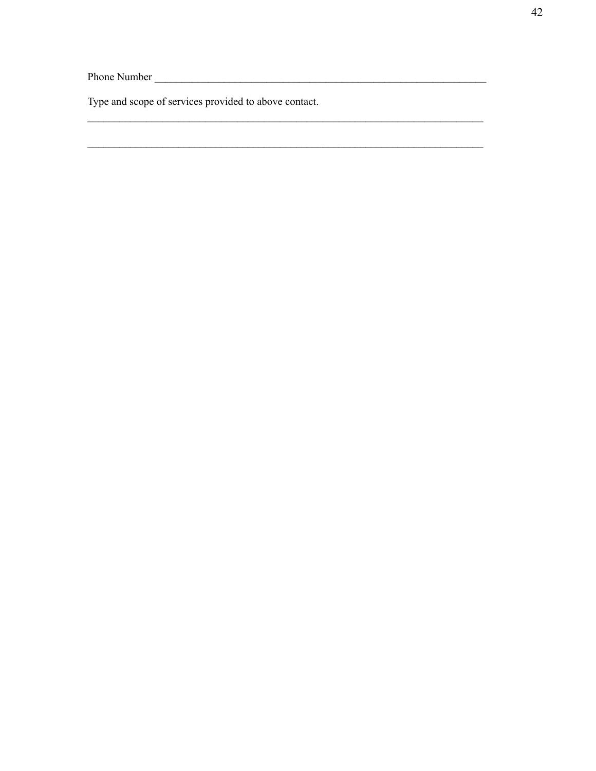Type and scope of services provided to above contact.

<u> 1989 - Johann Barn, mars eta bainar eta baina eta baina eta baina eta baina eta baina eta baina eta baina e</u>

 $\overline{\phantom{a}}$ 

<u> 1989 - Johann Barn, amerikan besteman besteman besteman besteman besteman besteman besteman besteman bestema</u>